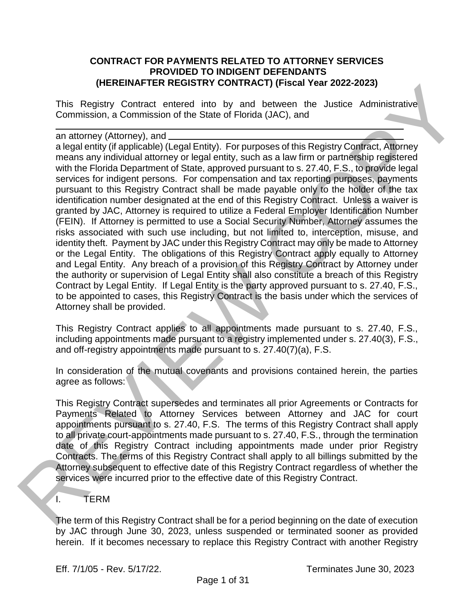#### **CONTRACT FOR PAYMENTS RELATED TO ATTORNEY SERVICES PROVIDED TO INDIGENT DEFENDANTS (HEREINAFTER REGISTRY CONTRACT) (Fiscal Year 2022-2023)**

This Registry Contract entered into by and between the Justice Administrative Commission, a Commission of the State of Florida (JAC), and

an attorney (Attorney), and

a legal entity (if applicable) (Legal Entity). For purposes of this Registry Contract, Attorney means any individual attorney or legal entity, such as a law firm or partnership registered with the Florida Department of State, approved pursuant to s. 27.40, F.S., to provide legal services for indigent persons. For compensation and tax reporting purposes, payments pursuant to this Registry Contract shall be made payable only to the holder of the tax identification number designated at the end of this Registry Contract. Unless a waiver is granted by JAC, Attorney is required to utilize a Federal Employer Identification Number (FEIN). If Attorney is permitted to use a Social Security Number, Attorney assumes the risks associated with such use including, but not limited to, interception, misuse, and identity theft. Payment by JAC under this Registry Contract may only be made to Attorney or the Legal Entity. The obligations of this Registry Contract apply equally to Attorney and Legal Entity. Any breach of a provision of this Registry Contract by Attorney under the authority or supervision of Legal Entity shall also constitute a breach of this Registry Contract by Legal Entity. If Legal Entity is the party approved pursuant to s. 27.40, F.S., to be appointed to cases, this Registry Contract is the basis under which the services of Attorney shall be provided. (THE TRINK REGIST INTOWNACT) (FISCAL TREVIEW 2013)<br>This Registry Contrast enter outcome, the state of Ford between the Using American commission, a Commission of the State of Fordod (JAC), and<br>an attorney (Attorney), and<br>a

This Registry Contract applies to all appointments made pursuant to s. 27.40, F.S., including appointments made pursuant to a registry implemented under s. 27.40(3), F.S., and off-registry appointments made pursuant to s. 27.40(7)(a), F.S.

In consideration of the mutual covenants and provisions contained herein, the parties agree as follows:

This Registry Contract supersedes and terminates all prior Agreements or Contracts for Payments Related to Attorney Services between Attorney and JAC for court appointments pursuant to s. 27.40, F.S. The terms of this Registry Contract shall apply to all private court-appointments made pursuant to s. 27.40, F.S., through the termination date of this Registry Contract including appointments made under prior Registry Contracts. The terms of this Registry Contract shall apply to all billings submitted by the Attorney subsequent to effective date of this Registry Contract regardless of whether the services were incurred prior to the effective date of this Registry Contract.

## I. TERM

The term of this Registry Contract shall be for a period beginning on the date of execution by JAC through June 30, 2023, unless suspended or terminated sooner as provided herein. If it becomes necessary to replace this Registry Contract with another Registry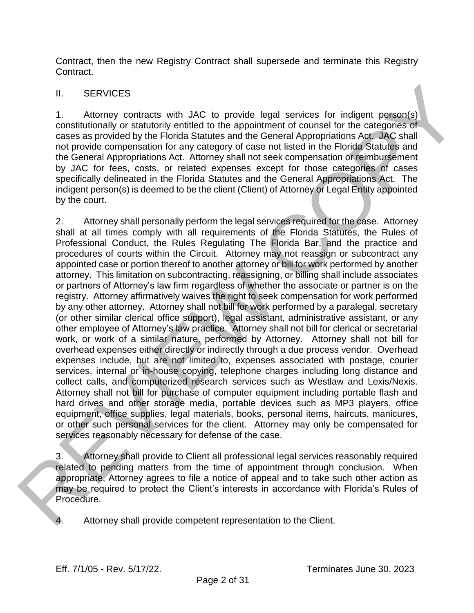Contract, then the new Registry Contract shall supersede and terminate this Registry Contract.

# II. SERVICES

1. Attorney contracts with JAC to provide legal services for indigent person(s) constitutionally or statutorily entitled to the appointment of counsel for the categories of cases as provided by the Florida Statutes and the General Appropriations Act. JAC shall not provide compensation for any category of case not listed in the Florida Statutes and the General Appropriations Act. Attorney shall not seek compensation or reimbursement by JAC for fees, costs, or related expenses except for those categories of cases specifically delineated in the Florida Statutes and the General Appropriations Act. The indigent person(s) is deemed to be the client (Client) of Attorney or Legal Entity appointed by the court.

2. Attorney shall personally perform the legal services required for the case. Attorney shall at all times comply with all requirements of the Florida Statutes, the Rules of Professional Conduct, the Rules Regulating The Florida Bar, and the practice and procedures of courts within the Circuit. Attorney may not reassign or subcontract any appointed case or portion thereof to another attorney or bill for work performed by another attorney. This limitation on subcontracting, reassigning, or billing shall include associates or partners of Attorney's law firm regardless of whether the associate or partner is on the registry. Attorney affirmatively waives the right to seek compensation for work performed by any other attorney. Attorney shall not bill for work performed by a paralegal, secretary (or other similar clerical office support), legal assistant, administrative assistant, or any other employee of Attorney's law practice. Attorney shall not bill for clerical or secretarial work, or work of a similar nature, performed by Attorney. Attorney shall not bill for overhead expenses either directly or indirectly through a due process vendor. Overhead expenses include, but are not limited to, expenses associated with postage, courier services, internal or in-house copying, telephone charges including long distance and collect calls, and computerized research services such as Westlaw and Lexis/Nexis. Attorney shall not bill for purchase of computer equipment including portable flash and hard drives and other storage media, portable devices such as MP3 players, office equipment, office supplies, legal materials, books, personal items, haircuts, manicures, or other such personal services for the client. Attorney may only be compensated for services reasonably necessary for defense of the case. II. SERVICES<br>
1. SERVICES<br>
1. Attorney contracts with JAC to provide legal services for indigent person(s)<br>
constitutionally or statutorily entitled to the appointment of coursel for the categories of<br>
constitutionally or

3. Attorney shall provide to Client all professional legal services reasonably required related to pending matters from the time of appointment through conclusion. When appropriate, Attorney agrees to file a notice of appeal and to take such other action as may be required to protect the Client's interests in accordance with Florida's Rules of Procedure.

4. Attorney shall provide competent representation to the Client.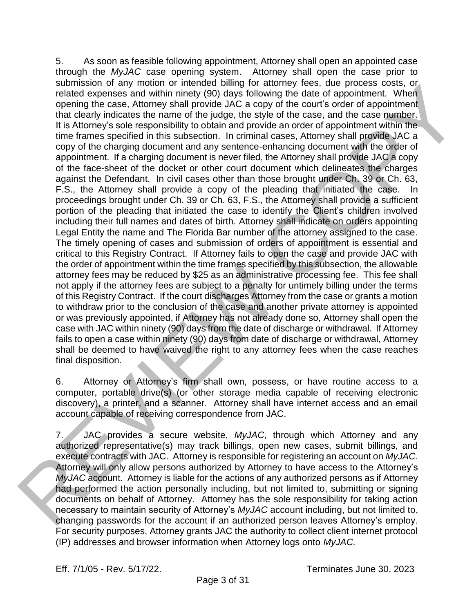5. As soon as feasible following appointment, Attorney shall open an appointed case through the *MyJAC* case opening system. Attorney shall open the case prior to submission of any motion or intended billing for attorney fees, due process costs, or related expenses and within ninety (90) days following the date of appointment. When opening the case, Attorney shall provide JAC a copy of the court's order of appointment that clearly indicates the name of the judge, the style of the case, and the case number. It is Attorney's sole responsibility to obtain and provide an order of appointment within the time frames specified in this subsection. In criminal cases, Attorney shall provide JAC a copy of the charging document and any sentence-enhancing document with the order of appointment. If a charging document is never filed, the Attorney shall provide JAC a copy of the face-sheet of the docket or other court document which delineates the charges against the Defendant. In civil cases other than those brought under Ch. 39 or Ch. 63, F.S., the Attorney shall provide a copy of the pleading that initiated the case. In proceedings brought under Ch. 39 or Ch. 63, F.S., the Attorney shall provide a sufficient portion of the pleading that initiated the case to identify the Client's children involved including their full names and dates of birth. Attorney shall indicate on orders appointing Legal Entity the name and The Florida Bar number of the attorney assigned to the case. The timely opening of cases and submission of orders of appointment is essential and critical to this Registry Contract. If Attorney fails to open the case and provide JAC with the order of appointment within the time frames specified by this subsection, the allowable attorney fees may be reduced by \$25 as an administrative processing fee. This fee shall not apply if the attorney fees are subject to a penalty for untimely billing under the terms of this Registry Contract. If the court discharges Attorney from the case or grants a motion to withdraw prior to the conclusion of the case and another private attorney is appointed or was previously appointed, if Attorney has not already done so, Attorney shall open the case with JAC within ninety (90) days from the date of discharge or withdrawal. If Attorney fails to open a case within ninety (90) days from date of discharge or withdrawal, Attorney shall be deemed to have waived the right to any attorney fees when the case reaches final disposition. submassion of any moton of minetae and allows of the profit of the process costs.<br>
Gradual oxperies and within minary (30) days following the data of appointment. When<br>
the data depress and within minary (30) days followin

6. Attorney or Attorney's firm shall own, possess, or have routine access to a computer, portable drive(s) (or other storage media capable of receiving electronic discovery), a printer, and a scanner. Attorney shall have internet access and an email account capable of receiving correspondence from JAC.

7. JAC provides a secure website, *MyJAC*, through which Attorney and any authorized representative(s) may track billings, open new cases, submit billings, and execute contracts with JAC. Attorney is responsible for registering an account on *MyJAC*. Attorney will only allow persons authorized by Attorney to have access to the Attorney's *MyJAC* account. Attorney is liable for the actions of any authorized persons as if Attorney had performed the action personally including, but not limited to, submitting or signing documents on behalf of Attorney. Attorney has the sole responsibility for taking action necessary to maintain security of Attorney's *MyJAC* account including, but not limited to, changing passwords for the account if an authorized person leaves Attorney's employ. For security purposes, Attorney grants JAC the authority to collect client internet protocol (IP) addresses and browser information when Attorney logs onto *MyJAC.*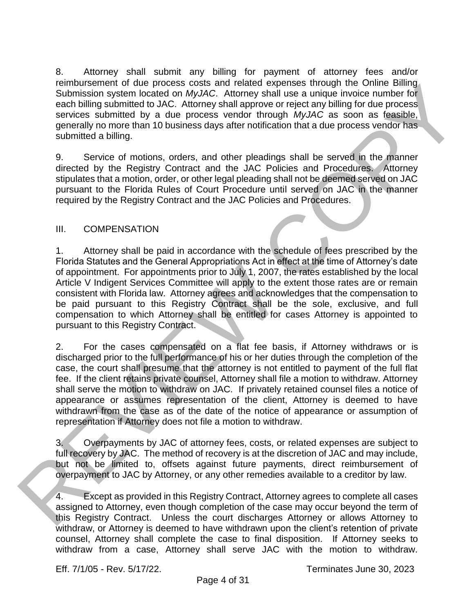8. Attorney shall submit any billing for payment of attorney fees and/or reimbursement of due process costs and related expenses through the Online Billing Submission system located on *MyJAC*. Attorney shall use a unique invoice number for each billing submitted to JAC. Attorney shall approve or reject any billing for due process services submitted by a due process vendor through *MyJAC* as soon as feasible, generally no more than 10 business days after notification that a due process vendor has submitted a billing.

9. Service of motions, orders, and other pleadings shall be served in the manner directed by the Registry Contract and the JAC Policies and Procedures. Attorney stipulates that a motion, order, or other legal pleading shall not be deemed served on JAC pursuant to the Florida Rules of Court Procedure until served on JAC in the manner required by the Registry Contract and the JAC Policies and Procedures.

## III. COMPENSATION

1. Attorney shall be paid in accordance with the schedule of fees prescribed by the Florida Statutes and the General Appropriations Act in effect at the time of Attorney's date of appointment. For appointments prior to July 1, 2007, the rates established by the local Article V Indigent Services Committee will apply to the extent those rates are or remain consistent with Florida law. Attorney agrees and acknowledges that the compensation to be paid pursuant to this Registry Contract shall be the sole, exclusive, and full compensation to which Attorney shall be entitled for cases Attorney is appointed to pursuant to this Registry Contract. Elmotosamon for oue process cases and network of the basis and contained basis and contained by the state of second in the state of the state of the state of the state of the state of the state of the state of the state of

2. For the cases compensated on a flat fee basis, if Attorney withdraws or is discharged prior to the full performance of his or her duties through the completion of the case, the court shall presume that the attorney is not entitled to payment of the full flat fee. If the client retains private counsel, Attorney shall file a motion to withdraw. Attorney shall serve the motion to withdraw on JAC. If privately retained counsel files a notice of appearance or assumes representation of the client, Attorney is deemed to have withdrawn from the case as of the date of the notice of appearance or assumption of representation if Attorney does not file a motion to withdraw.

3. Overpayments by JAC of attorney fees, costs, or related expenses are subject to full recovery by JAC. The method of recovery is at the discretion of JAC and may include, but not be limited to, offsets against future payments, direct reimbursement of overpayment to JAC by Attorney, or any other remedies available to a creditor by law.

4. Except as provided in this Registry Contract, Attorney agrees to complete all cases assigned to Attorney, even though completion of the case may occur beyond the term of this Registry Contract. Unless the court discharges Attorney or allows Attorney to withdraw, or Attorney is deemed to have withdrawn upon the client's retention of private counsel, Attorney shall complete the case to final disposition. If Attorney seeks to withdraw from a case, Attorney shall serve JAC with the motion to withdraw.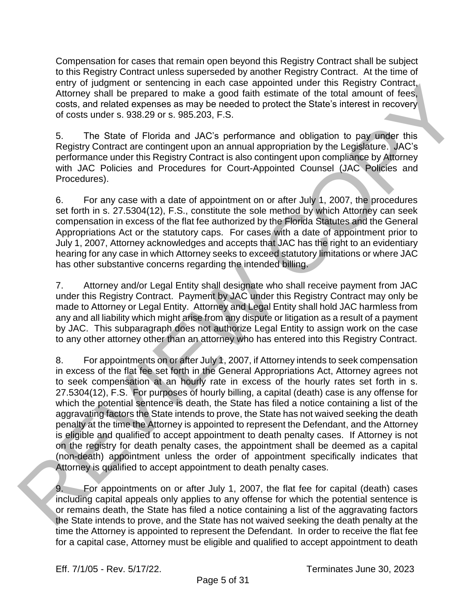Compensation for cases that remain open beyond this Registry Contract shall be subject to this Registry Contract unless superseded by another Registry Contract. At the time of entry of judgment or sentencing in each case appointed under this Registry Contract, Attorney shall be prepared to make a good faith estimate of the total amount of fees, costs, and related expenses as may be needed to protect the State's interest in recovery of costs under s. 938.29 or s. 985.203, F.S.

5. The State of Florida and JAC's performance and obligation to pay under this Registry Contract are contingent upon an annual appropriation by the Legislature. JAC's performance under this Registry Contract is also contingent upon compliance by Attorney with JAC Policies and Procedures for Court-Appointed Counsel (JAC Policies and Procedures).

6. For any case with a date of appointment on or after July 1, 2007, the procedures set forth in s. 27.5304(12), F.S., constitute the sole method by which Attorney can seek compensation in excess of the flat fee authorized by the Florida Statutes and the General Appropriations Act or the statutory caps. For cases with a date of appointment prior to July 1, 2007, Attorney acknowledges and accepts that JAC has the right to an evidentiary hearing for any case in which Attorney seeks to exceed statutory limitations or where JAC has other substantive concerns regarding the intended billing.

7. Attorney and/or Legal Entity shall designate who shall receive payment from JAC under this Registry Contract. Payment by JAC under this Registry Contract may only be made to Attorney or Legal Entity. Attorney and Legal Entity shall hold JAC harmless from any and all liability which might arise from any dispute or litigation as a result of a payment by JAC. This subparagraph does not authorize Legal Entity to assign work on the case to any other attorney other than an attorney who has entered into this Registry Contract.

8. For appointments on or after July 1, 2007, if Attorney intends to seek compensation in excess of the flat fee set forth in the General Appropriations Act, Attorney agrees not to seek compensation at an hourly rate in excess of the hourly rates set forth in s. 27.5304(12), F.S. For purposes of hourly billing, a capital (death) case is any offense for which the potential sentence is death, the State has filed a notice containing a list of the aggravating factors the State intends to prove, the State has not waived seeking the death penalty at the time the Attorney is appointed to represent the Defendant, and the Attorney is eligible and qualified to accept appointment to death penalty cases. If Attorney is not on the registry for death penalty cases, the appointment shall be deemed as a capital (non-death) appointment unless the order of appointment specifically indicates that Attorney is qualified to accept appointment to death penalty cases. entry or judgment or seneroing in each case appointed under his registry Contracts<br>Althony shall be propared to make a good faith estimate of the total amount of (lods,<br>costs, and related soperates as may be needed to prot

9. For appointments on or after July 1, 2007, the flat fee for capital (death) cases including capital appeals only applies to any offense for which the potential sentence is or remains death, the State has filed a notice containing a list of the aggravating factors the State intends to prove, and the State has not waived seeking the death penalty at the time the Attorney is appointed to represent the Defendant. In order to receive the flat fee for a capital case, Attorney must be eligible and qualified to accept appointment to death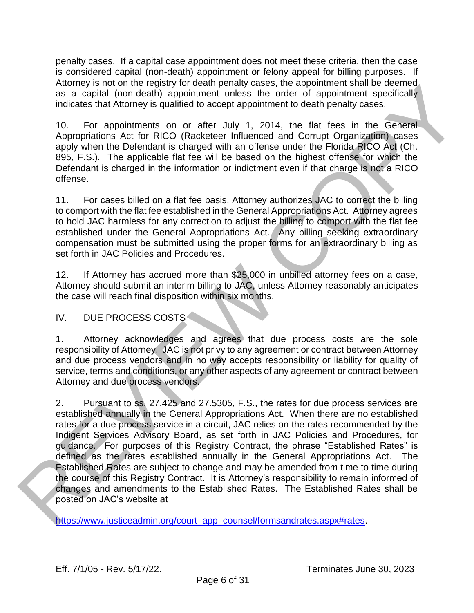penalty cases. If a capital case appointment does not meet these criteria, then the case is considered capital (non-death) appointment or felony appeal for billing purposes. If Attorney is not on the registry for death penalty cases, the appointment shall be deemed as a capital (non-death) appointment unless the order of appointment specifically indicates that Attorney is qualified to accept appointment to death penalty cases.

10. For appointments on or after July 1, 2014, the flat fees in the General Appropriations Act for RICO (Racketeer Influenced and Corrupt Organization) cases apply when the Defendant is charged with an offense under the Florida RICO Act (Ch. 895, F.S.). The applicable flat fee will be based on the highest offense for which the Defendant is charged in the information or indictment even if that charge is not a RICO offense.

11. For cases billed on a flat fee basis, Attorney authorizes JAC to correct the billing to comport with the flat fee established in the General Appropriations Act. Attorney agrees to hold JAC harmless for any correction to adjust the billing to comport with the flat fee established under the General Appropriations Act. Any billing seeking extraordinary compensation must be submitted using the proper forms for an extraordinary billing as set forth in JAC Policies and Procedures.

12. If Attorney has accrued more than \$25,000 in unbilled attorney fees on a case, Attorney should submit an interim billing to JAC, unless Attorney reasonably anticipates the case will reach final disposition within six months.

# IV. DUE PROCESS COSTS

1. Attorney acknowledges and agrees that due process costs are the sole responsibility of Attorney. JAC is not privy to any agreement or contract between Attorney and due process vendors and in no way accepts responsibility or liability for quality of service, terms and conditions, or any other aspects of any agreement or contract between Attorney and due process vendors.

2. Pursuant to ss. 27.425 and 27.5305, F.S., the rates for due process services are established annually in the General Appropriations Act. When there are no established rates for a due process service in a circuit, JAC relies on the rates recommended by the Indigent Services Advisory Board, as set forth in JAC Policies and Procedures, for guidance. For purposes of this Registry Contract, the phrase "Established Rates" is defined as the rates established annually in the General Appropriations Act. The Established Rates are subject to change and may be amended from time to time during the course of this Registry Contract. It is Attorney's responsibility to remain informed of changes and amendments to the Established Rates. The Established Rates shall be posted on JAC's website at Attomagns into on the registry for death pendanty cases, the apportment stati es deemed<br>a a capital (non-datal) appointment unless the order of appointment specifically<br>includes that Alternaty's qualified to access appoin

https://www.justiceadmin.org/court\_app\_counsel/formsandrates.aspx#rates.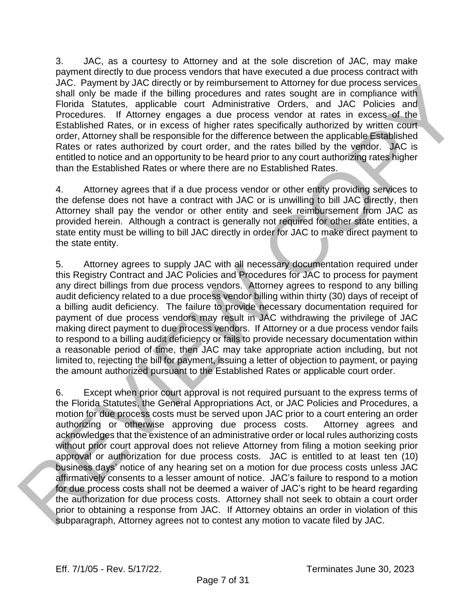3. JAC, as a courtesy to Attorney and at the sole discretion of JAC, may make payment directly to due process vendors that have executed a due process contract with JAC. Payment by JAC directly or by reimbursement to Attorney for due process services shall only be made if the billing procedures and rates sought are in compliance with Florida Statutes, applicable court Administrative Orders, and JAC Policies and Procedures. If Attorney engages a due process vendor at rates in excess of the Established Rates, or in excess of higher rates specifically authorized by written court order, Attorney shall be responsible for the difference between the applicable Established Rates or rates authorized by court order, and the rates billed by the vendor. JAC is entitled to notice and an opportunity to be heard prior to any court authorizing rates higher than the Established Rates or where there are no Established Rates.

4. Attorney agrees that if a due process vendor or other entity providing services to the defense does not have a contract with JAC or is unwilling to bill JAC directly, then Attorney shall pay the vendor or other entity and seek reimbursement from JAC as provided herein. Although a contract is generally not required for other state entities, a state entity must be willing to bill JAC directly in order for JAC to make direct payment to the state entity.

5. Attorney agrees to supply JAC with all necessary documentation required under this Registry Contract and JAC Policies and Procedures for JAC to process for payment any direct billings from due process vendors. Attorney agrees to respond to any billing audit deficiency related to a due process vendor billing within thirty (30) days of receipt of a billing audit deficiency. The failure to provide necessary documentation required for payment of due process vendors may result in JAC withdrawing the privilege of JAC making direct payment to due process vendors. If Attorney or a due process vendor fails to respond to a billing audit deficiency or fails to provide necessary documentation within a reasonable period of time, then JAC may take appropriate action including, but not limited to, rejecting the bill for payment, issuing a letter of objection to payment, or paying the amount authorized pursuant to the Established Rates or applicable court order.

6. Except when prior court approval is not required pursuant to the express terms of the Florida Statutes, the General Appropriations Act, or JAC Policies and Procedures, a motion for due process costs must be served upon JAC prior to a court entering an order authorizing or otherwise approving due process costs. Attorney agrees and acknowledges that the existence of an administrative order or local rules authorizing costs without prior court approval does not relieve Attorney from filing a motion seeking prior approval or authorization for due process costs. JAC is entitled to at least ten (10) business days' notice of any hearing set on a motion for due process costs unless JAC affirmatively consents to a lesser amount of notice. JAC's failure to respond to a motion for due process costs shall not be deemed a waiver of JAC's right to be heard regarding the authorization for due process costs. Attorney shall not seek to obtain a court order prior to obtaining a response from JAC. If Attorney obtains an order in violation of this JAC. Haymentary JAC directions and the solution of the context of Articles services and the particles and the solution of the small only be made if the billing procedures and task sought are in compliance with those and th subparagraph, Attorney agrees not to contest any motion to vacate filed by JAC.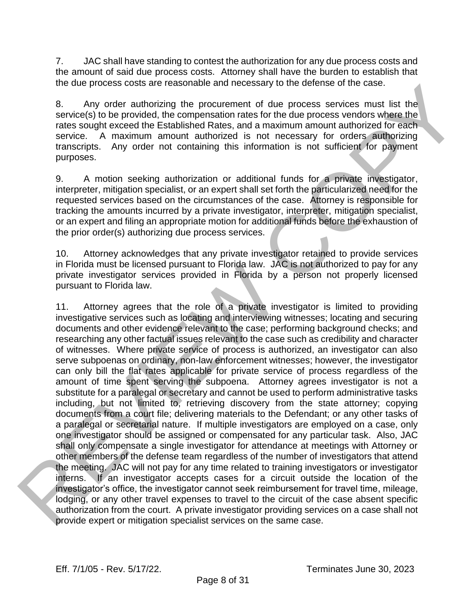7. JAC shall have standing to contest the authorization for any due process costs and the amount of said due process costs. Attorney shall have the burden to establish that the due process costs are reasonable and necessary to the defense of the case.

8. Any order authorizing the procurement of due process services must list the service(s) to be provided, the compensation rates for the due process vendors where the rates sought exceed the Established Rates, and a maximum amount authorized for each service. A maximum amount authorized is not necessary for orders authorizing transcripts. Any order not containing this information is not sufficient for payment purposes.

9. A motion seeking authorization or additional funds for a private investigator, interpreter, mitigation specialist, or an expert shall set forth the particularized need for the requested services based on the circumstances of the case. Attorney is responsible for tracking the amounts incurred by a private investigator, interpreter, mitigation specialist, or an expert and filing an appropriate motion for additional funds before the exhaustion of the prior order(s) authorizing due process services.

10. Attorney acknowledges that any private investigator retained to provide services in Florida must be licensed pursuant to Florida law. JAC is not authorized to pay for any private investigator services provided in Florida by a person not properly licensed pursuant to Florida law.

11. Attorney agrees that the role of a private investigator is limited to providing investigative services such as locating and interviewing witnesses; locating and securing documents and other evidence relevant to the case; performing background checks; and researching any other factual issues relevant to the case such as credibility and character of witnesses. Where private service of process is authorized, an investigator can also serve subpoenas on ordinary, non-law enforcement witnesses; however, the investigator can only bill the flat rates applicable for private service of process regardless of the amount of time spent serving the subpoena. Attorney agrees investigator is not a substitute for a paralegal or secretary and cannot be used to perform administrative tasks including, but not limited to, retrieving discovery from the state attorney; copying documents from a court file; delivering materials to the Defendant; or any other tasks of a paralegal or secretarial nature. If multiple investigators are employed on a case, only one investigator should be assigned or compensated for any particular task. Also, JAC shall only compensate a single investigator for attendance at meetings with Attorney or other members of the defense team regardless of the number of investigators that attend the meeting. JAC will not pay for any time related to training investigators or investigator interns. If an investigator accepts cases for a circuit outside the location of the investigator's office, the investigator cannot seek reimbursement for travel time, mileage, lodging, or any other travel expenses to travel to the circuit of the case absent specific authorization from the court. A private investigator providing services on a case shall not the due process costs are reasonable and necessary for ne derived by the production and the method of the production and the method of the method of the method of the method of the method of the method of the method of the provide expert or mitigation specialist services on the same case.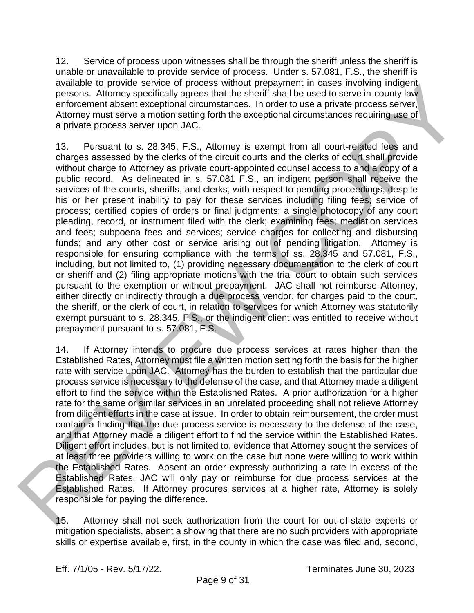12. Service of process upon witnesses shall be through the sheriff unless the sheriff is unable or unavailable to provide service of process. Under s. 57.081, F.S., the sheriff is available to provide service of process without prepayment in cases involving indigent persons. Attorney specifically agrees that the sheriff shall be used to serve in-county law enforcement absent exceptional circumstances. In order to use a private process server, Attorney must serve a motion setting forth the exceptional circumstances requiring use of a private process server upon JAC.

13. Pursuant to s. 28.345, F.S., Attorney is exempt from all court-related fees and charges assessed by the clerks of the circuit courts and the clerks of court shall provide without charge to Attorney as private court-appointed counsel access to and a copy of a public record. As delineated in s. 57.081 F.S., an indigent person shall receive the services of the courts, sheriffs, and clerks, with respect to pending proceedings, despite his or her present inability to pay for these services including filing fees; service of process; certified copies of orders or final judgments; a single photocopy of any court pleading, record, or instrument filed with the clerk; examining fees; mediation services and fees; subpoena fees and services; service charges for collecting and disbursing funds; and any other cost or service arising out of pending litigation. Attorney is responsible for ensuring compliance with the terms of ss. 28.345 and 57.081, F.S., including, but not limited to, (1) providing necessary documentation to the clerk of court or sheriff and (2) filing appropriate motions with the trial court to obtain such services pursuant to the exemption or without prepayment. JAC shall not reimburse Attorney, either directly or indirectly through a due process vendor, for charges paid to the court, the sheriff, or the clerk of court, in relation to services for which Attorney was statutorily exempt pursuant to s. 28.345, F.S., or the indigent client was entitled to receive without prepayment pursuant to s. 57.081, F.S. systems to phonos estimate and the cores without presspherant in cases involving incipate<br>parados Aidmay spocifically agoos that the doubt for all be used to sarve in-county law<br>enforcement absent exceptions directions are

14. If Attorney intends to procure due process services at rates higher than the Established Rates, Attorney must file a written motion setting forth the basis for the higher rate with service upon JAC. Attorney has the burden to establish that the particular due process service is necessary to the defense of the case, and that Attorney made a diligent effort to find the service within the Established Rates. A prior authorization for a higher rate for the same or similar services in an unrelated proceeding shall not relieve Attorney from diligent efforts in the case at issue. In order to obtain reimbursement, the order must contain a finding that the due process service is necessary to the defense of the case, and that Attorney made a diligent effort to find the service within the Established Rates. Diligent effort includes, but is not limited to, evidence that Attorney sought the services of at least three providers willing to work on the case but none were willing to work within the Established Rates. Absent an order expressly authorizing a rate in excess of the Established Rates, JAC will only pay or reimburse for due process services at the Established Rates. If Attorney procures services at a higher rate, Attorney is solely responsible for paying the difference.

15. Attorney shall not seek authorization from the court for out-of-state experts or mitigation specialists, absent a showing that there are no such providers with appropriate skills or expertise available, first, in the county in which the case was filed and, second,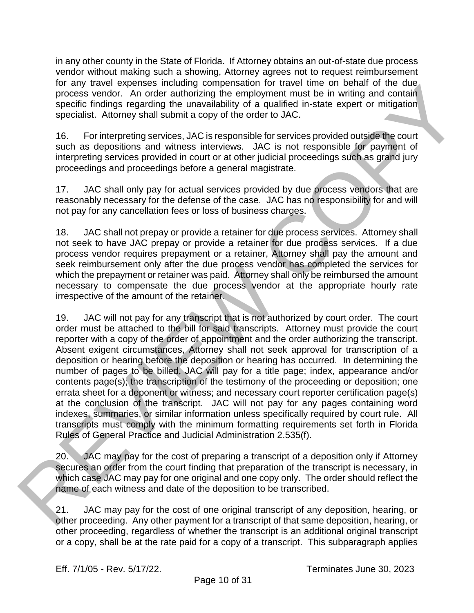in any other county in the State of Florida. If Attorney obtains an out-of-state due process vendor without making such a showing, Attorney agrees not to request reimbursement for any travel expenses including compensation for travel time on behalf of the due process vendor. An order authorizing the employment must be in writing and contain specific findings regarding the unavailability of a qualified in-state expert or mitigation specialist. Attorney shall submit a copy of the order to JAC.

16. For interpreting services, JAC is responsible for services provided outside the court such as depositions and witness interviews. JAC is not responsible for payment of interpreting services provided in court or at other judicial proceedings such as grand jury proceedings and proceedings before a general magistrate.

17. JAC shall only pay for actual services provided by due process vendors that are reasonably necessary for the defense of the case. JAC has no responsibility for and will not pay for any cancellation fees or loss of business charges.

18. JAC shall not prepay or provide a retainer for due process services. Attorney shall not seek to have JAC prepay or provide a retainer for due process services. If a due process vendor requires prepayment or a retainer, Attorney shall pay the amount and seek reimbursement only after the due process vendor has completed the services for which the prepayment or retainer was paid. Attorney shall only be reimbursed the amount necessary to compensate the due process vendor at the appropriate hourly rate irrespective of the amount of the retainer.

19. JAC will not pay for any transcript that is not authorized by court order. The court order must be attached to the bill for said transcripts. Attorney must provide the court reporter with a copy of the order of appointment and the order authorizing the transcript. Absent exigent circumstances, Attorney shall not seek approval for transcription of a deposition or hearing before the deposition or hearing has occurred. In determining the number of pages to be billed, JAC will pay for a title page; index, appearance and/or contents page(s); the transcription of the testimony of the proceeding or deposition; one errata sheet for a deponent or witness; and necessary court reporter certification page(s) at the conclusion of the transcript. JAC will not pay for any pages containing word indexes, summaries, or similar information unless specifically required by court rule. All transcripts must comply with the minimum formatting requirements set forth in Florida Rules of General Practice and Judicial Administration 2.535(f). for any travel expenses including compensation for travel time on certain of the due to the station of the constrained the universal material the material for the constrained the station of the station of the stationary co

20. JAC may pay for the cost of preparing a transcript of a deposition only if Attorney secures an order from the court finding that preparation of the transcript is necessary, in which case JAC may pay for one original and one copy only. The order should reflect the name of each witness and date of the deposition to be transcribed.

21. JAC may pay for the cost of one original transcript of any deposition, hearing, or other proceeding. Any other payment for a transcript of that same deposition, hearing, or other proceeding, regardless of whether the transcript is an additional original transcript or a copy, shall be at the rate paid for a copy of a transcript. This subparagraph applies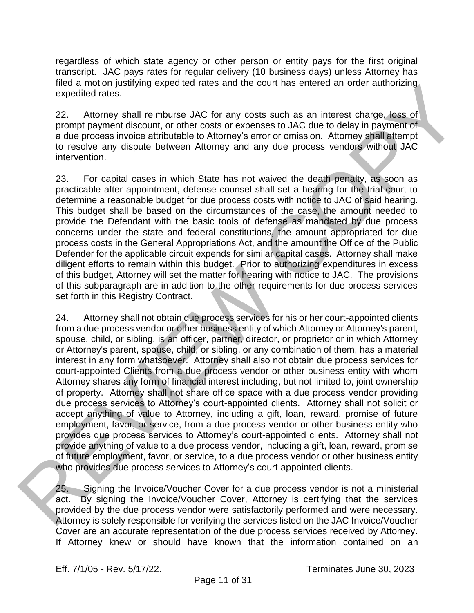regardless of which state agency or other person or entity pays for the first original transcript. JAC pays rates for regular delivery (10 business days) unless Attorney has filed a motion justifying expedited rates and the court has entered an order authorizing expedited rates.

22. Attorney shall reimburse JAC for any costs such as an interest charge, loss of prompt payment discount, or other costs or expenses to JAC due to delay in payment of a due process invoice attributable to Attorney's error or omission. Attorney shall attempt to resolve any dispute between Attorney and any due process vendors without JAC intervention.

23. For capital cases in which State has not waived the death penalty, as soon as practicable after appointment, defense counsel shall set a hearing for the trial court to determine a reasonable budget for due process costs with notice to JAC of said hearing. This budget shall be based on the circumstances of the case, the amount needed to provide the Defendant with the basic tools of defense as mandated by due process concerns under the state and federal constitutions, the amount appropriated for due process costs in the General Appropriations Act, and the amount the Office of the Public Defender for the applicable circuit expends for similar capital cases. Attorney shall make diligent efforts to remain within this budget. Prior to authorizing expenditures in excess of this budget, Attorney will set the matter for hearing with notice to JAC. The provisions of this subparagraph are in addition to the other requirements for due process services set forth in this Registry Contract.

24. Attorney shall not obtain due process services for his or her court-appointed clients from a due process vendor or other business entity of which Attorney or Attorney's parent, spouse, child, or sibling, is an officer, partner, director, or proprietor or in which Attorney or Attorney's parent, spouse, child, or sibling, or any combination of them, has a material interest in any form whatsoever. Attorney shall also not obtain due process services for court-appointed Clients from a due process vendor or other business entity with whom Attorney shares any form of financial interest including, but not limited to, joint ownership of property. Attorney shall not share office space with a due process vendor providing due process services to Attorney's court-appointed clients. Attorney shall not solicit or accept anything of value to Attorney, including a gift, loan, reward, promise of future employment, favor, or service, from a due process vendor or other business entity who provides due process services to Attorney's court-appointed clients. Attorney shall not provide anything of value to a due process vendor, including a gift, loan, reward, promise of future employment, favor, or service, to a due process vendor or other business entity who provides due process services to Attorney's court-appointed clients. mean emotion is through expected rates and the court mas embed and ministerial and ministerial and ministerial and ministerial and ministerial and ministerial and ministerial and ministerial and ministerial and ministerial

25. Signing the Invoice/Voucher Cover for a due process vendor is not a ministerial act. By signing the Invoice/Voucher Cover, Attorney is certifying that the services provided by the due process vendor were satisfactorily performed and were necessary. Attorney is solely responsible for verifying the services listed on the JAC Invoice/Voucher If Attorney knew or should have known that the information contained on an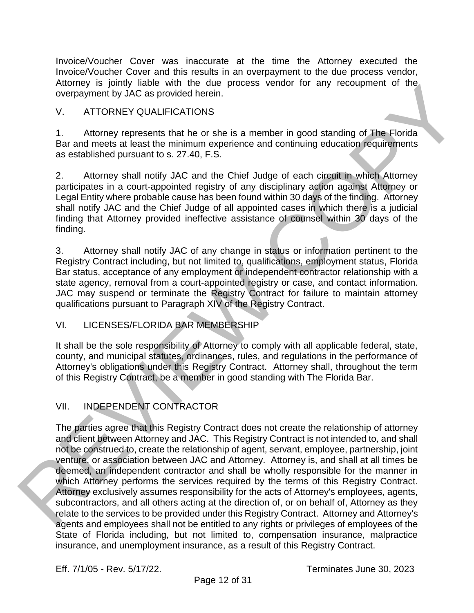Invoice/Voucher Cover was inaccurate at the time the Attorney executed the Invoice/Voucher Cover and this results in an overpayment to the due process vendor, Attorney is jointly liable with the due process vendor for any recoupment of the overpayment by JAC as provided herein.

## V. ATTORNEY QUALIFICATIONS

1. Attorney represents that he or she is a member in good standing of The Florida Bar and meets at least the minimum experience and continuing education requirements as established pursuant to s. 27.40, F.S.

2. Attorney shall notify JAC and the Chief Judge of each circuit in which Attorney participates in a court-appointed registry of any disciplinary action against Attorney or Legal Entity where probable cause has been found within 30 days of the finding. Attorney shall notify JAC and the Chief Judge of all appointed cases in which there is a judicial finding that Attorney provided ineffective assistance of counsel within 30 days of the finding.

3. Attorney shall notify JAC of any change in status or information pertinent to the Registry Contract including, but not limited to, qualifications, employment status, Florida Bar status, acceptance of any employment or independent contractor relationship with a state agency, removal from a court-appointed registry or case, and contact information. JAC may suspend or terminate the Registry Contract for failure to maintain attorney qualifications pursuant to Paragraph XIV of the Registry Contract.

## VI. LICENSES/FLORIDA BAR MEMBERSHIP

It shall be the sole responsibility of Attorney to comply with all applicable federal, state, county, and municipal statutes, ordinances, rules, and regulations in the performance of Attorney's obligations under this Registry Contract. Attorney shall, throughout the term of this Registry Contract, be a member in good standing with The Florida Bar.

## VII. INDEPENDENT CONTRACTOR

The parties agree that this Registry Contract does not create the relationship of attorney and client between Attorney and JAC. This Registry Contract is not intended to, and shall not be construed to, create the relationship of agent, servant, employee, partnership, joint venture, or association between JAC and Attorney. Attorney is, and shall at all times be deemed, an independent contractor and shall be wholly responsible for the manner in which Attorney performs the services required by the terms of this Registry Contract. Attorney exclusively assumes responsibility for the acts of Attorney's employees, agents, subcontractors, and all others acting at the direction of, or on behalf of, Attorney as they relate to the services to be provided under this Registry Contract. Attorney and Attorney's agents and employees shall not be entitled to any rights or privileges of employees of the State of Florida including, but not limited to, compensation insurance, malpractice Attomby is pointing to process vendor for any recoupment or the source overage with the due to correspond by JAC as provided harant.<br>
V. ATTORNEY QUALIFICATIONS<br>
1. Attorney represents that he or sine is a member in good s insurance, and unemployment insurance, as a result of this Registry Contract.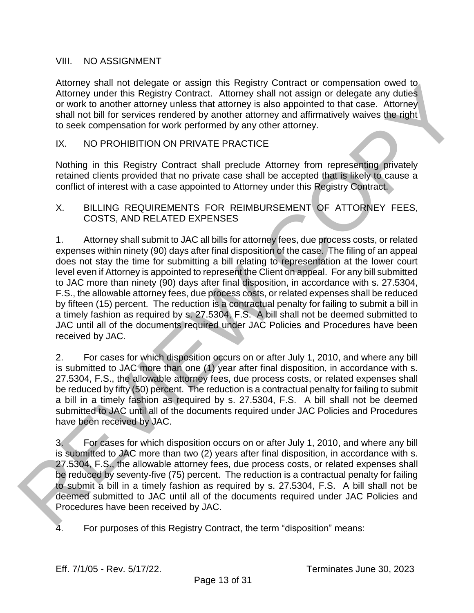#### VIII. NO ASSIGNMENT

Attorney shall not delegate or assign this Registry Contract or compensation owed to Attorney under this Registry Contract. Attorney shall not assign or delegate any duties or work to another attorney unless that attorney is also appointed to that case. Attorney shall not bill for services rendered by another attorney and affirmatively waives the right to seek compensation for work performed by any other attorney.

#### IX. NO PROHIBITION ON PRIVATE PRACTICE

Nothing in this Registry Contract shall preclude Attorney from representing privately retained clients provided that no private case shall be accepted that is likely to cause a conflict of interest with a case appointed to Attorney under this Registry Contract.

#### X. BILLING REQUIREMENTS FOR REIMBURSEMENT OF ATTORNEY FEES, COSTS, AND RELATED EXPENSES

1. Attorney shall submit to JAC all bills for attorney fees, due process costs, or related expenses within ninety (90) days after final disposition of the case. The filing of an appeal does not stay the time for submitting a bill relating to representation at the lower court level even if Attorney is appointed to represent the Client on appeal. For any bill submitted to JAC more than ninety (90) days after final disposition, in accordance with s. 27.5304, F.S., the allowable attorney fees, due process costs, or related expenses shall be reduced by fifteen (15) percent. The reduction is a contractual penalty for failing to submit a bill in a timely fashion as required by s. 27.5304, F.S. A bill shall not be deemed submitted to JAC until all of the documents required under JAC Policies and Procedures have been received by JAC. Attorney shall not deelayer or assign mas Registry Contract of compensation over the any independent of the method of the method of the control of the control of the control of the control of the control of the control of

2. For cases for which disposition occurs on or after July 1, 2010, and where any bill is submitted to JAC more than one (1) year after final disposition, in accordance with s. 27.5304, F.S., the allowable attorney fees, due process costs, or related expenses shall be reduced by fifty (50) percent. The reduction is a contractual penalty for failing to submit a bill in a timely fashion as required by s. 27.5304, F.S. A bill shall not be deemed submitted to JAC until all of the documents required under JAC Policies and Procedures have been received by JAC.

3. For cases for which disposition occurs on or after July 1, 2010, and where any bill is submitted to JAC more than two (2) years after final disposition, in accordance with s. 27.5304, F.S., the allowable attorney fees, due process costs, or related expenses shall be reduced by seventy-five (75) percent. The reduction is a contractual penalty for failing to submit a bill in a timely fashion as required by s. 27.5304, F.S. A bill shall not be deemed submitted to JAC until all of the documents required under JAC Policies and Procedures have been received by JAC.

4. For purposes of this Registry Contract, the term "disposition" means: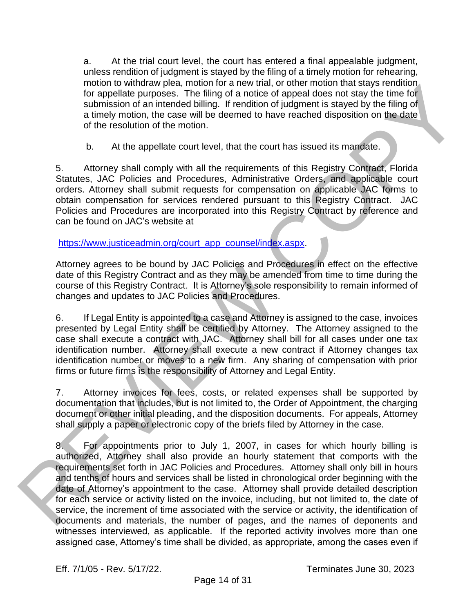a. At the trial court level, the court has entered a final appealable judgment, unless rendition of judgment is stayed by the filing of a timely motion for rehearing, motion to withdraw plea, motion for a new trial, or other motion that stays rendition for appellate purposes. The filing of a notice of appeal does not stay the time for submission of an intended billing. If rendition of judgment is stayed by the filing of a timely motion, the case will be deemed to have reached disposition on the date of the resolution of the motion.

b. At the appellate court level, that the court has issued its mandate.

5. Attorney shall comply with all the requirements of this Registry Contract, Florida Statutes, JAC Policies and Procedures, Administrative Orders, and applicable court orders. Attorney shall submit requests for compensation on applicable JAC forms to obtain compensation for services rendered pursuant to this Registry Contract. JAC Policies and Procedures are incorporated into this Registry Contract by reference and can be found on JAC's website at

#### https://www.justiceadmin.org/court\_app\_counsel/index.aspx.

Attorney agrees to be bound by JAC Policies and Procedures in effect on the effective date of this Registry Contract and as they may be amended from time to time during the course of this Registry Contract. It is Attorney's sole responsibility to remain informed of changes and updates to JAC Policies and Procedures.

6. If Legal Entity is appointed to a case and Attorney is assigned to the case, invoices presented by Legal Entity shall be certified by Attorney. The Attorney assigned to the case shall execute a contract with JAC. Attorney shall bill for all cases under one tax identification number. Attorney shall execute a new contract if Attorney changes tax identification number or moves to a new firm. Any sharing of compensation with prior firms or future firms is the responsibility of Attorney and Legal Entity.

7. Attorney invoices for fees, costs, or related expenses shall be supported by documentation that includes, but is not limited to, the Order of Appointment, the charging document or other initial pleading, and the disposition documents. For appeals, Attorney shall supply a paper or electronic copy of the briefs filed by Attorney in the case.

8. For appointments prior to July 1, 2007, in cases for which hourly billing is authorized, Attorney shall also provide an hourly statement that comports with the requirements set forth in JAC Policies and Procedures. Attorney shall only bill in hours and tenths of hours and services shall be listed in chronological order beginning with the date of Attorney's appointment to the case. Attorney shall provide detailed description for each service or activity listed on the invoice, including, but not limited to, the date of service, the increment of time associated with the service or activity, the identification of documents and materials, the number of pages, and the names of deponents and witnesses interviewed, as applicable. If the reported activity involves more than one motion to windrary persists. Thoridin for a few may may be a may may be the may the may the may the may the state of the prediction of a state of the may of the may of the may of the may of the may of the may of the may of assigned case, Attorney's time shall be divided, as appropriate, among the cases even if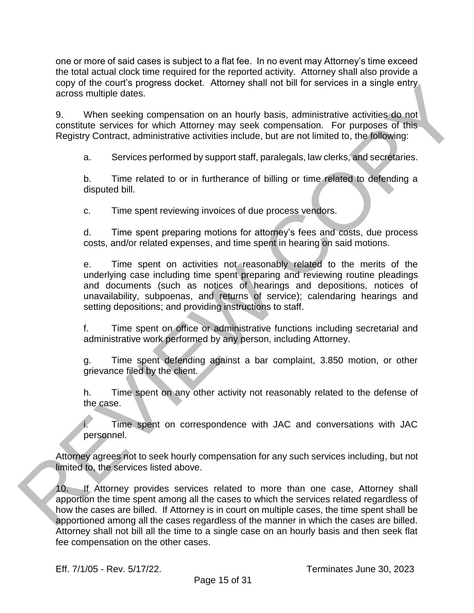one or more of said cases is subject to a flat fee. In no event may Attorney's time exceed the total actual clock time required for the reported activity. Attorney shall also provide a copy of the court's progress docket. Attorney shall not bill for services in a single entry across multiple dates.

9. When seeking compensation on an hourly basis, administrative activities do not constitute services for which Attorney may seek compensation. For purposes of this Registry Contract, administrative activities include, but are not limited to, the following:

a. Services performed by support staff, paralegals, law clerks, and secretaries.

b. Time related to or in furtherance of billing or time related to defending a disputed bill.

c. Time spent reviewing invoices of due process vendors.

d. Time spent preparing motions for attorney's fees and costs, due process costs, and/or related expenses, and time spent in hearing on said motions.

e. Time spent on activities not reasonably related to the merits of the underlying case including time spent preparing and reviewing routine pleadings and documents (such as notices of hearings and depositions, notices of unavailability, subpoenas, and returns of service); calendaring hearings and setting depositions; and providing instructions to staff. copy of the course properts above the American in the Morelian Sandardo and San Minister Street and San Minister Street and Morelian Constitute Street and Morelian Constitute Street and Northern Street and Northern Constit

f. Time spent on office or administrative functions including secretarial and administrative work performed by any person, including Attorney.

g. Time spent defending against a bar complaint, 3.850 motion, or other grievance filed by the client.

h. Time spent on any other activity not reasonably related to the defense of the case.

i. Time spent on correspondence with JAC and conversations with JAC personnel.

Attorney agrees not to seek hourly compensation for any such services including, but not limited to, the services listed above.

10. If Attorney provides services related to more than one case, Attorney shall apportion the time spent among all the cases to which the services related regardless of how the cases are billed. If Attorney is in court on multiple cases, the time spent shall be apportioned among all the cases regardless of the manner in which the cases are billed. Attorney shall not bill all the time to a single case on an hourly basis and then seek flat fee compensation on the other cases.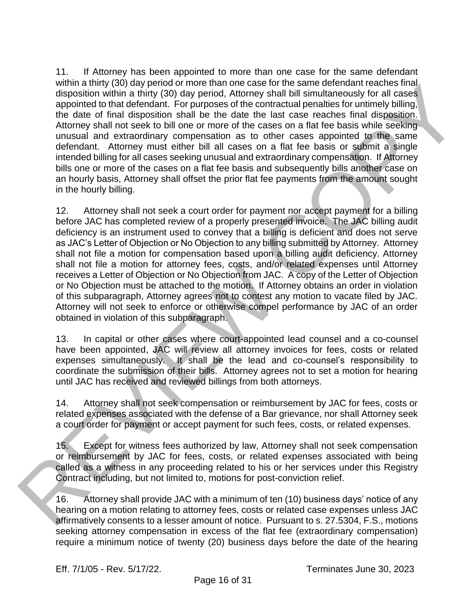11. If Attorney has been appointed to more than one case for the same defendant within a thirty (30) day period or more than one case for the same defendant reaches final disposition within a thirty (30) day period, Attorney shall bill simultaneously for all cases appointed to that defendant. For purposes of the contractual penalties for untimely billing, the date of final disposition shall be the date the last case reaches final disposition. Attorney shall not seek to bill one or more of the cases on a flat fee basis while seeking unusual and extraordinary compensation as to other cases appointed to the same defendant. Attorney must either bill all cases on a flat fee basis or submit a single intended billing for all cases seeking unusual and extraordinary compensation. If Attorney bills one or more of the cases on a flat fee basis and subsequently bills another case on an hourly basis, Attorney shall offset the prior flat fee payments from the amount sought in the hourly billing.

12. Attorney shall not seek a court order for payment nor accept payment for a billing before JAC has completed review of a properly presented invoice. The JAC billing audit deficiency is an instrument used to convey that a billing is deficient and does not serve as JAC's Letter of Objection or No Objection to any billing submitted by Attorney. Attorney shall not file a motion for compensation based upon a billing audit deficiency. Attorney shall not file a motion for attorney fees, costs, and/or related expenses until Attorney receives a Letter of Objection or No Objection from JAC. A copy of the Letter of Objection or No Objection must be attached to the motion. If Attorney obtains an order in violation of this subparagraph, Attorney agrees not to contest any motion to vacate filed by JAC. Attorney will not seek to enforce or otherwise compel performance by JAC of an order obtained in violation of this subparagraph. Writin a finity (30) asy period of microsynthesian entropy that is a supported that detections in a supported of microsynthesia. The product of microsynthesian entropy bulk is much as a specifical product of material produ

13. In capital or other cases where court-appointed lead counsel and a co-counsel have been appointed, JAC will review all attorney invoices for fees, costs or related expenses simultaneously. It shall be the lead and co-counsel's responsibility to coordinate the submission of their bills. Attorney agrees not to set a motion for hearing until JAC has received and reviewed billings from both attorneys.

14. Attorney shall not seek compensation or reimbursement by JAC for fees, costs or related expenses associated with the defense of a Bar grievance, nor shall Attorney seek a court order for payment or accept payment for such fees, costs, or related expenses.

15. Except for witness fees authorized by law, Attorney shall not seek compensation or reimbursement by JAC for fees, costs, or related expenses associated with being called as a witness in any proceeding related to his or her services under this Registry Contract including, but not limited to, motions for post-conviction relief.

16. Attorney shall provide JAC with a minimum of ten (10) business days' notice of any hearing on a motion relating to attorney fees, costs or related case expenses unless JAC affirmatively consents to a lesser amount of notice. Pursuant to s. 27.5304, F.S., motions seeking attorney compensation in excess of the flat fee (extraordinary compensation) require a minimum notice of twenty (20) business days before the date of the hearing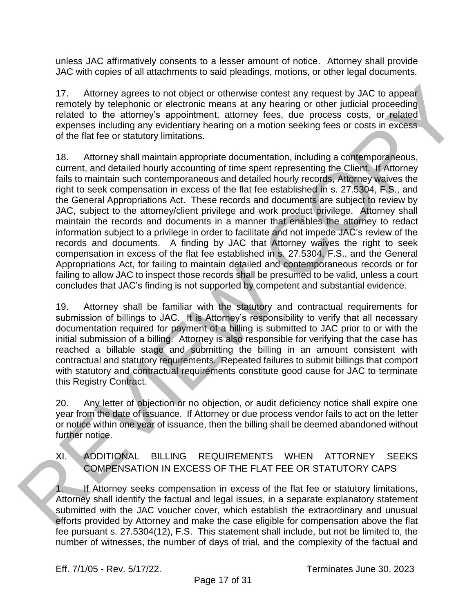unless JAC affirmatively consents to a lesser amount of notice. Attorney shall provide JAC with copies of all attachments to said pleadings, motions, or other legal documents.

17. Attorney agrees to not object or otherwise contest any request by JAC to appear remotely by telephonic or electronic means at any hearing or other judicial proceeding related to the attorney's appointment, attorney fees, due process costs, or related expenses including any evidentiary hearing on a motion seeking fees or costs in excess of the flat fee or statutory limitations.

18. Attorney shall maintain appropriate documentation, including a contemporaneous, current, and detailed hourly accounting of time spent representing the Client. If Attorney fails to maintain such contemporaneous and detailed hourly records, Attorney waives the right to seek compensation in excess of the flat fee established in s. 27.5304, F.S., and the General Appropriations Act. These records and documents are subject to review by JAC, subject to the attorney/client privilege and work product privilege. Attorney shall maintain the records and documents in a manner that enables the attorney to redact information subject to a privilege in order to facilitate and not impede JAC's review of the records and documents. A finding by JAC that Attorney waives the right to seek compensation in excess of the flat fee established in s. 27.5304, F.S., and the General Appropriations Act, for failing to maintain detailed and contemporaneous records or for failing to allow JAC to inspect those records shall be presumed to be valid, unless a court concludes that JAC's finding is not supported by competent and substantial evidence. 17. Altomay agross to not object or chonwise contest any request by JAC to appear<br>rentally by the phone or electronic means at any hearing or coher publish process and consider<br>responses including any evidentially energy l

19. Attorney shall be familiar with the statutory and contractual requirements for submission of billings to JAC. It is Attorney's responsibility to verify that all necessary documentation required for payment of a billing is submitted to JAC prior to or with the initial submission of a billing. Attorney is also responsible for verifying that the case has reached a billable stage and submitting the billing in an amount consistent with contractual and statutory requirements. Repeated failures to submit billings that comport with statutory and contractual requirements constitute good cause for JAC to terminate this Registry Contract.

20. Any letter of objection or no objection, or audit deficiency notice shall expire one year from the date of issuance. If Attorney or due process vendor fails to act on the letter or notice within one year of issuance, then the billing shall be deemed abandoned without further notice.

XI. ADDITIONAL BILLING REQUIREMENTS WHEN ATTORNEY SEEKS COMPENSATION IN EXCESS OF THE FLAT FEE OR STATUTORY CAPS

1. If Attorney seeks compensation in excess of the flat fee or statutory limitations, Attorney shall identify the factual and legal issues, in a separate explanatory statement submitted with the JAC voucher cover, which establish the extraordinary and unusual efforts provided by Attorney and make the case eligible for compensation above the flat fee pursuant s. 27.5304(12), F.S. This statement shall include, but not be limited to, the number of witnesses, the number of days of trial, and the complexity of the factual and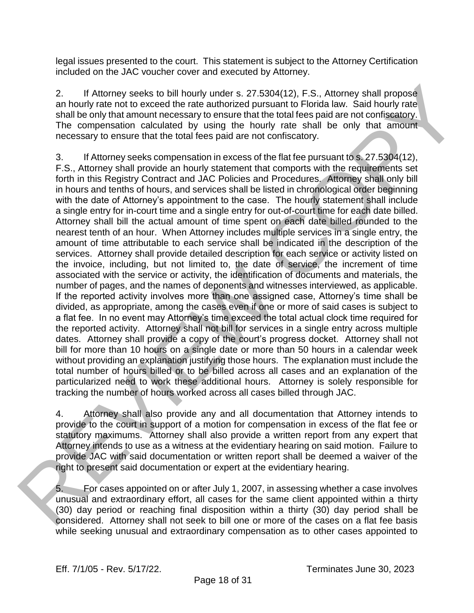legal issues presented to the court. This statement is subject to the Attorney Certification included on the JAC voucher cover and executed by Attorney.

2. If Attorney seeks to bill hourly under s. 27.5304(12), F.S., Attorney shall propose an hourly rate not to exceed the rate authorized pursuant to Florida law. Said hourly rate shall be only that amount necessary to ensure that the total fees paid are not confiscatory. The compensation calculated by using the hourly rate shall be only that amount necessary to ensure that the total fees paid are not confiscatory.

3. If Attorney seeks compensation in excess of the flat fee pursuant to s. 27.5304(12), F.S., Attorney shall provide an hourly statement that comports with the requirements set forth in this Registry Contract and JAC Policies and Procedures. Attorney shall only bill in hours and tenths of hours, and services shall be listed in chronological order beginning with the date of Attorney's appointment to the case. The hourly statement shall include a single entry for in-court time and a single entry for out-of-court time for each date billed. Attorney shall bill the actual amount of time spent on each date billed rounded to the nearest tenth of an hour. When Attorney includes multiple services in a single entry, the amount of time attributable to each service shall be indicated in the description of the services. Attorney shall provide detailed description for each service or activity listed on the invoice, including, but not limited to, the date of service, the increment of time associated with the service or activity, the identification of documents and materials, the number of pages, and the names of deponents and witnesses interviewed, as applicable. If the reported activity involves more than one assigned case, Attorney's time shall be divided, as appropriate, among the cases even if one or more of said cases is subject to a flat fee. In no event may Attorney's time exceed the total actual clock time required for the reported activity. Attorney shall not bill for services in a single entry across multiple dates. Attorney shall provide a copy of the court's progress docket. Attorney shall not bill for more than 10 hours on a single date or more than 50 hours in a calendar week without providing an explanation justifying those hours. The explanation must include the total number of hours billed or to be billed across all cases and an explanation of the particularized need to work these additional hours. Attorney is solely responsible for tracking the number of hours worked across all cases billed through JAC. 2.<br>
A Mormay seeks to bill hourly under s. 27.5304(12), F.S., Altomov shall propose<br>
an hour y rate and thouch the fact at thouch y rate and hourly rate<br>
and helicolations and the compensation calculated by using the hourl

4. Attorney shall also provide any and all documentation that Attorney intends to provide to the court in support of a motion for compensation in excess of the flat fee or statutory maximums. Attorney shall also provide a written report from any expert that Attorney intends to use as a witness at the evidentiary hearing on said motion. Failure to provide JAC with said documentation or written report shall be deemed a waiver of the right to present said documentation or expert at the evidentiary hearing.

5. For cases appointed on or after July 1, 2007, in assessing whether a case involves unusual and extraordinary effort, all cases for the same client appointed within a thirty (30) day period or reaching final disposition within a thirty (30) day period shall be considered. Attorney shall not seek to bill one or more of the cases on a flat fee basis while seeking unusual and extraordinary compensation as to other cases appointed to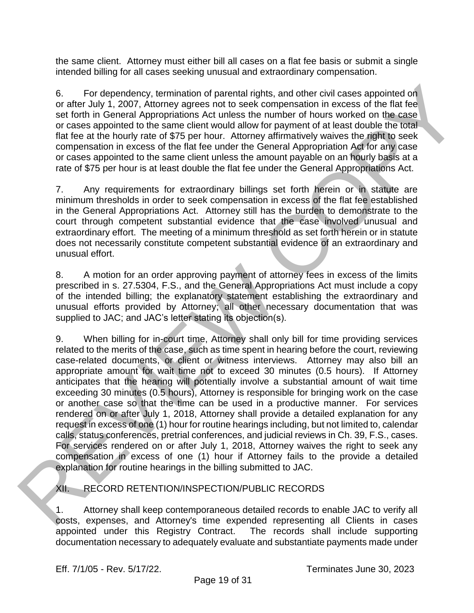the same client. Attorney must either bill all cases on a flat fee basis or submit a single intended billing for all cases seeking unusual and extraordinary compensation.

6. For dependency, termination of parental rights, and other civil cases appointed on or after July 1, 2007, Attorney agrees not to seek compensation in excess of the flat fee set forth in General Appropriations Act unless the number of hours worked on the case or cases appointed to the same client would allow for payment of at least double the total flat fee at the hourly rate of \$75 per hour. Attorney affirmatively waives the right to seek compensation in excess of the flat fee under the General Appropriation Act for any case or cases appointed to the same client unless the amount payable on an hourly basis at a rate of \$75 per hour is at least double the flat fee under the General Appropriations Act.

7. Any requirements for extraordinary billings set forth herein or in statute are minimum thresholds in order to seek compensation in excess of the flat fee established in the General Appropriations Act. Attorney still has the burden to demonstrate to the court through competent substantial evidence that the case involved unusual and extraordinary effort. The meeting of a minimum threshold as set forth herein or in statute does not necessarily constitute competent substantial evidence of an extraordinary and unusual effort.

8. A motion for an order approving payment of attorney fees in excess of the limits prescribed in s. 27.5304, F.S., and the General Appropriations Act must include a copy of the intended billing; the explanatory statement establishing the extraordinary and unusual efforts provided by Attorney; all other necessary documentation that was supplied to JAC; and JAC's letter stating its objection(s).

9. When billing for in-court time, Attorney shall only bill for time providing services related to the merits of the case, such as time spent in hearing before the court, reviewing case-related documents, or client or witness interviews. Attorney may also bill an appropriate amount for wait time not to exceed 30 minutes (0.5 hours). If Attorney anticipates that the hearing will potentially involve a substantial amount of wait time exceeding 30 minutes (0.5 hours), Attorney is responsible for bringing work on the case or another case so that the time can be used in a productive manner. For services rendered on or after July 1, 2018, Attorney shall provide a detailed explanation for any request in excess of one (1) hour for routine hearings including, but not limited to, calendar calls, status conferences, pretrial conferences, and judicial reviews in Ch. 39, F.S., cases. For services rendered on or after July 1, 2018, Attorney waives the right to seek any compensation in excess of one (1) hour if Attorney fails to the provide a detailed explanation for routine hearings in the billing submitted to JAC. 6. For dependency, termination of parential rights, and other civil cases appointed on<br>or of or of the U.U.C 2007. Alternative and the same client would allev for parener of all east double the total<br>or cases appointed to

XII. RECORD RETENTION/INSPECTION/PUBLIC RECORDS

1. Attorney shall keep contemporaneous detailed records to enable JAC to verify all costs, expenses, and Attorney's time expended representing all Clients in cases<br>appointed under this Registry Contract. The records shall include supporting appointed under this Registry Contract. documentation necessary to adequately evaluate and substantiate payments made under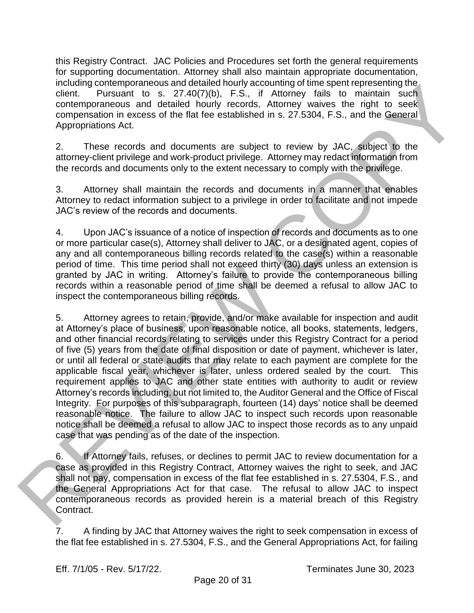this Registry Contract. JAC Policies and Procedures set forth the general requirements for supporting documentation. Attorney shall also maintain appropriate documentation, including contemporaneous and detailed hourly accounting of time spent representing the client. Pursuant to s. 27.40(7)(b), F.S., if Attorney fails to maintain such contemporaneous and detailed hourly records, Attorney waives the right to seek compensation in excess of the flat fee established in s. 27.5304, F.S., and the General Appropriations Act.

2. These records and documents are subject to review by JAC, subject to the attorney-client privilege and work-product privilege. Attorney may redact information from the records and documents only to the extent necessary to comply with the privilege.

3. Attorney shall maintain the records and documents in a manner that enables Attorney to redact information subject to a privilege in order to facilitate and not impede JAC's review of the records and documents.

4. Upon JAC's issuance of a notice of inspection of records and documents as to one or more particular case(s), Attorney shall deliver to JAC, or a designated agent, copies of any and all contemporaneous billing records related to the case(s) within a reasonable period of time. This time period shall not exceed thirty (30) days unless an extension is granted by JAC in writing. Attorney's failure to provide the contemporaneous billing records within a reasonable period of time shall be deemed a refusal to allow JAC to inspect the contemporaneous billing records.

5. Attorney agrees to retain, provide, and/or make available for inspection and audit at Attorney's place of business, upon reasonable notice, all books, statements, ledgers, and other financial records relating to services under this Registry Contract for a period of five (5) years from the date of final disposition or date of payment, whichever is later, or until all federal or state audits that may relate to each payment are complete for the applicable fiscal year, whichever is later, unless ordered sealed by the court. This requirement applies to JAC and other state entities with authority to audit or review Attorney's records including, but not limited to, the Auditor General and the Office of Fiscal Integrity. For purposes of this subparagraph, fourteen (14) days' notice shall be deemed reasonable notice. The failure to allow JAC to inspect such records upon reasonable notice shall be deemed a refusal to allow JAC to inspect those records as to any unpaid case that was pending as of the date of the inspection. maturing former provides and determined on the specific present representing the contemperation in the constrained on the specific constrained contemperation in constrained contemperation in encosis of the filter terms and

6. If Attorney fails, refuses, or declines to permit JAC to review documentation for a case as provided in this Registry Contract, Attorney waives the right to seek, and JAC shall not pay, compensation in excess of the flat fee established in s. 27.5304, F.S., and the General Appropriations Act for that case. The refusal to allow JAC to inspect contemporaneous records as provided herein is a material breach of this Registry Contract.

7. A finding by JAC that Attorney waives the right to seek compensation in excess of the flat fee established in s. 27.5304, F.S., and the General Appropriations Act, for failing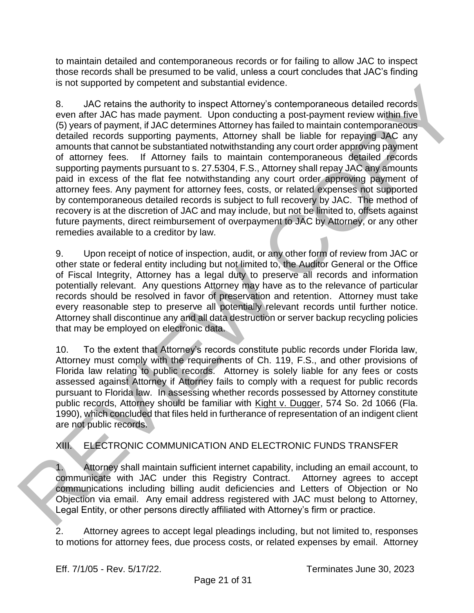to maintain detailed and contemporaneous records or for failing to allow JAC to inspect those records shall be presumed to be valid, unless a court concludes that JAC's finding is not supported by competent and substantial evidence.

8. JAC retains the authority to inspect Attorney's contemporaneous detailed records even after JAC has made payment. Upon conducting a post-payment review within five (5) years of payment, if JAC determines Attorney has failed to maintain contemporaneous detailed records supporting payments, Attorney shall be liable for repaying JAC any amounts that cannot be substantiated notwithstanding any court order approving payment of attorney fees. If Attorney fails to maintain contemporaneous detailed records supporting payments pursuant to s. 27.5304, F.S., Attorney shall repay JAC any amounts paid in excess of the flat fee notwithstanding any court order approving payment of attorney fees. Any payment for attorney fees, costs, or related expenses not supported by contemporaneous detailed records is subject to full recovery by JAC. The method of recovery is at the discretion of JAC and may include, but not be limited to, offsets against future payments, direct reimbursement of overpayment to JAC by Attorney, or any other remedies available to a creditor by law. Is not supported to you menter and substantial evident. Although a substantial evident and the specifical method in the specifical energy of the method in the specific properties (5) years of poyer in although a method in

9. Upon receipt of notice of inspection, audit, or any other form of review from JAC or other state or federal entity including but not limited to, the Auditor General or the Office of Fiscal Integrity, Attorney has a legal duty to preserve all records and information potentially relevant. Any questions Attorney may have as to the relevance of particular records should be resolved in favor of preservation and retention. Attorney must take every reasonable step to preserve all potentially relevant records until further notice. Attorney shall discontinue any and all data destruction or server backup recycling policies that may be employed on electronic data.

10. To the extent that Attorney's records constitute public records under Florida law, Attorney must comply with the requirements of Ch. 119, F.S., and other provisions of Florida law relating to public records. Attorney is solely liable for any fees or costs assessed against Attorney if Attorney fails to comply with a request for public records pursuant to Florida law. In assessing whether records possessed by Attorney constitute public records, Attorney should be familiar with Kight v. Dugger, 574 So. 2d 1066 (Fla. 1990), which concluded that files held in furtherance of representation of an indigent client are not public records.

# XIII. ELECTRONIC COMMUNICATION AND ELECTRONIC FUNDS TRANSFER

1. Attorney shall maintain sufficient internet capability, including an email account, to communicate with JAC under this Registry Contract. Attorney agrees to accept communications including billing audit deficiencies and Letters of Objection or No Objection via email. Any email address registered with JAC must belong to Attorney, Legal Entity, or other persons directly affiliated with Attorney's firm or practice.

2. Attorney agrees to accept legal pleadings including, but not limited to, responses to motions for attorney fees, due process costs, or related expenses by email. Attorney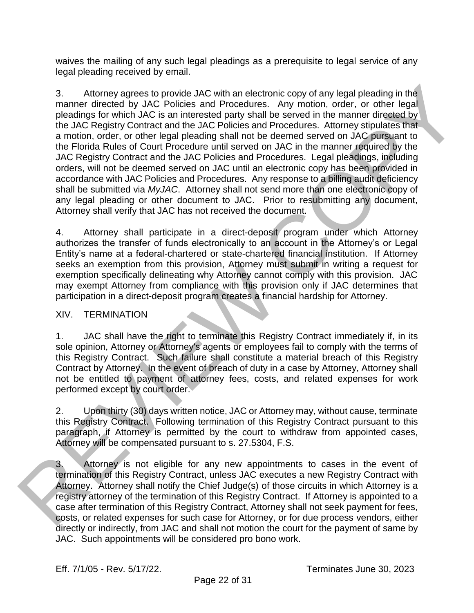waives the mailing of any such legal pleadings as a prerequisite to legal service of any legal pleading received by email.

3. Attorney agrees to provide JAC with an electronic copy of any legal pleading in the manner directed by JAC Policies and Procedures. Any motion, order, or other legal pleadings for which JAC is an interested party shall be served in the manner directed by the JAC Registry Contract and the JAC Policies and Procedures. Attorney stipulates that a motion, order, or other legal pleading shall not be deemed served on JAC pursuant to the Florida Rules of Court Procedure until served on JAC in the manner required by the JAC Registry Contract and the JAC Policies and Procedures. Legal pleadings, including orders, will not be deemed served on JAC until an electronic copy has been provided in accordance with JAC Policies and Procedures. Any response to a billing audit deficiency shall be submitted via *MyJAC*. Attorney shall not send more than one electronic copy of any legal pleading or other document to JAC. Prior to resubmitting any document, Attorney shall verify that JAC has not received the document. 3.<br>
Altomay agroes to Provide AC with an electronic copy of any legal pleading in the<br>
mean manufactor by AC is a track enter from the model to the remove of the HC Registry Contract and the JAC Proficies and Procedures. A

4. Attorney shall participate in a direct-deposit program under which Attorney authorizes the transfer of funds electronically to an account in the Attorney's or Legal Entity's name at a federal-chartered or state-chartered financial institution. If Attorney seeks an exemption from this provision, Attorney must submit in writing a request for exemption specifically delineating why Attorney cannot comply with this provision. JAC may exempt Attorney from compliance with this provision only if JAC determines that participation in a direct-deposit program creates a financial hardship for Attorney.

### XIV. TERMINATION

1. JAC shall have the right to terminate this Registry Contract immediately if, in its sole opinion, Attorney or Attorney's agents or employees fail to comply with the terms of this Registry Contract. Such failure shall constitute a material breach of this Registry Contract by Attorney. In the event of breach of duty in a case by Attorney, Attorney shall not be entitled to payment of attorney fees, costs, and related expenses for work performed except by court order.

2. Upon thirty (30) days written notice, JAC or Attorney may, without cause, terminate this Registry Contract. Following termination of this Registry Contract pursuant to this paragraph, if Attorney is permitted by the court to withdraw from appointed cases, Attorney will be compensated pursuant to s. 27.5304, F.S.

3. Attorney is not eligible for any new appointments to cases in the event of termination of this Registry Contract, unless JAC executes a new Registry Contract with Attorney. Attorney shall notify the Chief Judge(s) of those circuits in which Attorney is a registry attorney of the termination of this Registry Contract. If Attorney is appointed to a case after termination of this Registry Contract, Attorney shall not seek payment for fees, costs, or related expenses for such case for Attorney, or for due process vendors, either directly or indirectly, from JAC and shall not motion the court for the payment of same by JAC. Such appointments will be considered pro bono work.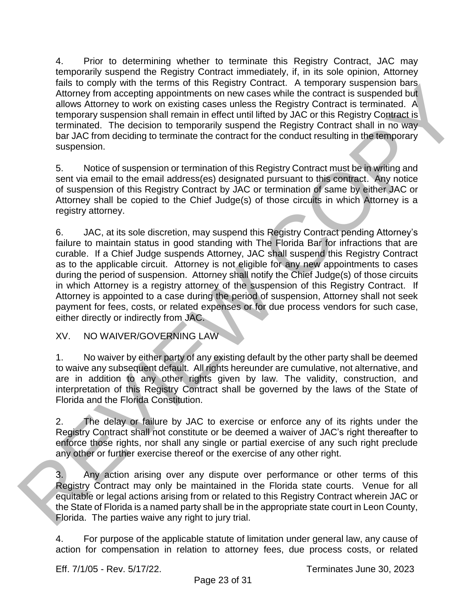4. Prior to determining whether to terminate this Registry Contract, JAC may temporarily suspend the Registry Contract immediately, if, in its sole opinion, Attorney fails to comply with the terms of this Registry Contract. A temporary suspension bars Attorney from accepting appointments on new cases while the contract is suspended but allows Attorney to work on existing cases unless the Registry Contract is terminated. A temporary suspension shall remain in effect until lifted by JAC or this Registry Contract is terminated. The decision to temporarily suspend the Registry Contract shall in no way bar JAC from deciding to terminate the contract for the conduct resulting in the temporary suspension.

5. Notice of suspension or termination of this Registry Contract must be in writing and sent via email to the email address(es) designated pursuant to this contract. Any notice of suspension of this Registry Contract by JAC or termination of same by either JAC or Attorney shall be copied to the Chief Judge(s) of those circuits in which Attorney is a registry attorney.

6. JAC, at its sole discretion, may suspend this Registry Contract pending Attorney's failure to maintain status in good standing with The Florida Bar for infractions that are curable. If a Chief Judge suspends Attorney, JAC shall suspend this Registry Contract as to the applicable circuit. Attorney is not eligible for any new appointments to cases during the period of suspension. Attorney shall notify the Chief Judge(s) of those circuits in which Attorney is a registry attorney of the suspension of this Registry Contract. If Attorney is appointed to a case during the period of suspension, Attorney shall not seek payment for fees, costs, or related expenses or for due process vendors for such case, either directly or indirectly from JAC. that is to comply with the element of this Registry Contract. A temporature and a subcombination and allows Allomay form accopiting appointments on now cases with the normalist is supported allows allows allows when the pa

XV. NO WAIVER/GOVERNING LAW

1. No waiver by either party of any existing default by the other party shall be deemed to waive any subsequent default. All rights hereunder are cumulative, not alternative, and are in addition to any other rights given by law. The validity, construction, and interpretation of this Registry Contract shall be governed by the laws of the State of Florida and the Florida Constitution.

2. The delay or failure by JAC to exercise or enforce any of its rights under the Registry Contract shall not constitute or be deemed a waiver of JAC's right thereafter to enforce those rights, nor shall any single or partial exercise of any such right preclude any other or further exercise thereof or the exercise of any other right.

3. Any action arising over any dispute over performance or other terms of this Registry Contract may only be maintained in the Florida state courts. Venue for all equitable or legal actions arising from or related to this Registry Contract wherein JAC or the State of Florida is a named party shall be in the appropriate state court in Leon County, Florida. The parties waive any right to jury trial.

4. For purpose of the applicable statute of limitation under general law, any cause of action for compensation in relation to attorney fees, due process costs, or related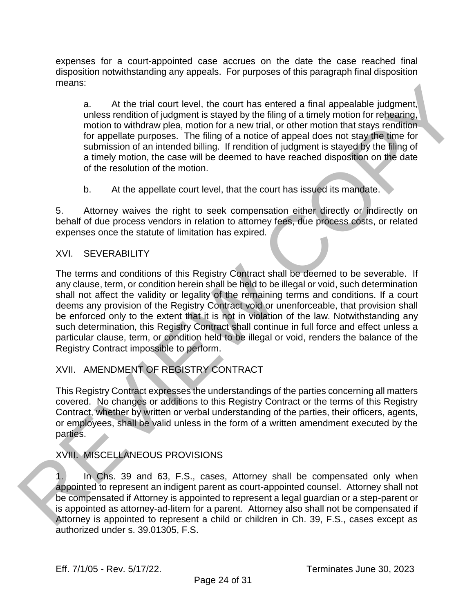expenses for a court-appointed case accrues on the date the case reached final disposition notwithstanding any appeals. For purposes of this paragraph final disposition means:

a. At the trial court level, the court has entered a final appealable judgment, unless rendition of judgment is stayed by the filing of a timely motion for rehearing, motion to withdraw plea, motion for a new trial, or other motion that stays rendition for appellate purposes. The filing of a notice of appeal does not stay the time for submission of an intended billing. If rendition of judgment is stayed by the filing of a timely motion, the case will be deemed to have reached disposition on the date of the resolution of the motion.

b. At the appellate court level, that the court has issued its mandate.

5. Attorney waives the right to seek compensation either directly or indirectly on behalf of due process vendors in relation to attorney fees, due process costs, or related expenses once the statute of limitation has expired.

## XVI. SEVERABILITY

The terms and conditions of this Registry Contract shall be deemed to be severable. If any clause, term, or condition herein shall be held to be illegal or void, such determination shall not affect the validity or legality of the remaining terms and conditions. If a court deems any provision of the Registry Contract void or unenforceable, that provision shall be enforced only to the extent that it is not in violation of the law. Notwithstanding any such determination, this Registry Contract shall continue in full force and effect unless a particular clause, term, or condition held to be illegal or void, renders the balance of the Registry Contract impossible to perform. means.<br>
a. At the tial court level, the ceurl has entered a final appealable judgment,<br>
unleave rendition to judgment is stuped by the filling of strendy motion for relations<br>
from the intereduced a motion for a new trial

# XVII. AMENDMENT OF REGISTRY CONTRACT

This Registry Contract expresses the understandings of the parties concerning all matters covered. No changes or additions to this Registry Contract or the terms of this Registry Contract, whether by written or verbal understanding of the parties, their officers, agents, or employees, shall be valid unless in the form of a written amendment executed by the parties.

## XVIII. MISCELLANEOUS PROVISIONS

1. In Chs. 39 and 63, F.S., cases, Attorney shall be compensated only when appointed to represent an indigent parent as court-appointed counsel. Attorney shall not be compensated if Attorney is appointed to represent a legal guardian or a step-parent or is appointed as attorney-ad-litem for a parent. Attorney also shall not be compensated if Attorney is appointed to represent a child or children in Ch. 39, F.S., cases except as authorized under s. 39.01305, F.S.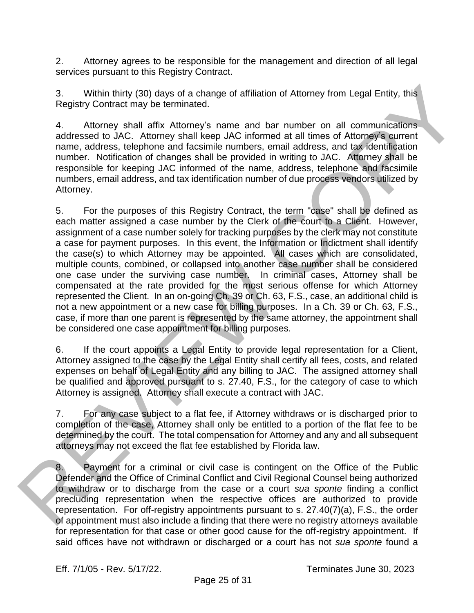2. Attorney agrees to be responsible for the management and direction of all legal services pursuant to this Registry Contract.

3. Within thirty (30) days of a change of affiliation of Attorney from Legal Entity, this Registry Contract may be terminated.

4. Attorney shall affix Attorney's name and bar number on all communications addressed to JAC. Attorney shall keep JAC informed at all times of Attorney's current name, address, telephone and facsimile numbers, email address, and tax identification number. Notification of changes shall be provided in writing to JAC. Attorney shall be responsible for keeping JAC informed of the name, address, telephone and facsimile numbers, email address, and tax identification number of due process vendors utilized by Attorney.

5. For the purposes of this Registry Contract, the term "case" shall be defined as each matter assigned a case number by the Clerk of the court to a Client. However, assignment of a case number solely for tracking purposes by the clerk may not constitute a case for payment purposes. In this event, the Information or Indictment shall identify the case(s) to which Attorney may be appointed. All cases which are consolidated, multiple counts, combined, or collapsed into another case number shall be considered one case under the surviving case number. In criminal cases, Attorney shall be compensated at the rate provided for the most serious offense for which Attorney represented the Client. In an on-going Ch. 39 or Ch. 63, F.S., case, an additional child is not a new appointment or a new case for billing purposes. In a Ch. 39 or Ch. 63, F.S., case, if more than one parent is represented by the same attorney, the appointment shall be considered one case appointment for billing purposes. 3. Whith thirty (30) days of a change of affiliation of Attomay from Logal Entity, this<br>Registry Contract may be terminated.<br>The same and bar mumber on all communications<br>and desead to JAC. Altomay shall after, Moreovers m

6. If the court appoints a Legal Entity to provide legal representation for a Client, Attorney assigned to the case by the Legal Entity shall certify all fees, costs, and related expenses on behalf of Legal Entity and any billing to JAC. The assigned attorney shall be qualified and approved pursuant to s. 27.40, F.S., for the category of case to which Attorney is assigned. Attorney shall execute a contract with JAC.

7. For any case subject to a flat fee, if Attorney withdraws or is discharged prior to completion of the case, Attorney shall only be entitled to a portion of the flat fee to be determined by the court. The total compensation for Attorney and any and all subsequent attorneys may not exceed the flat fee established by Florida law.

8. Payment for a criminal or civil case is contingent on the Office of the Public Defender and the Office of Criminal Conflict and Civil Regional Counsel being authorized to withdraw or to discharge from the case or a court *sua sponte* finding a conflict precluding representation when the respective offices are authorized to provide representation. For off-registry appointments pursuant to s. 27.40(7)(a), F.S., the order of appointment must also include a finding that there were no registry attorneys available for representation for that case or other good cause for the off-registry appointment. If said offices have not withdrawn or discharged or a court has not *sua sponte* found a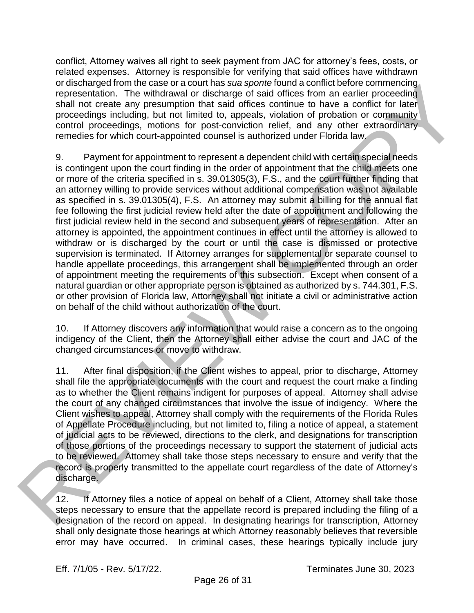conflict, Attorney waives all right to seek payment from JAC for attorney's fees, costs, or related expenses. Attorney is responsible for verifying that said offices have withdrawn or discharged from the case or a court has *sua sponte* found a conflict before commencing representation. The withdrawal or discharge of said offices from an earlier proceeding shall not create any presumption that said offices continue to have a conflict for later proceedings including, but not limited to, appeals, violation of probation or community control proceedings, motions for post-conviction relief, and any other extraordinary remedies for which court-appointed counsel is authorized under Florida law.

9. Payment for appointment to represent a dependent child with certain special needs is contingent upon the court finding in the order of appointment that the child meets one or more of the criteria specified in s. 39.01305(3), F.S., and the court further finding that an attorney willing to provide services without additional compensation was not available as specified in s. 39.01305(4), F.S. An attorney may submit a billing for the annual flat fee following the first judicial review held after the date of appointment and following the first judicial review held in the second and subsequent years of representation. After an attorney is appointed, the appointment continues in effect until the attorney is allowed to withdraw or is discharged by the court or until the case is dismissed or protective supervision is terminated. If Attorney arranges for supplemental or separate counsel to handle appellate proceedings, this arrangement shall be implemented through an order of appointment meeting the requirements of this subsection. Except when consent of a natural guardian or other appropriate person is obtained as authorized by s. 744.301, F.S. or other provision of Florida law, Attorney shall not initiate a civil or administrative action on behalf of the child without authorization of the court. or distance and content of the collection of the collection of a content of the collection of the collection of the collection of the collection of the collection of the collection of proparation of the collection of the c

10. If Attorney discovers any information that would raise a concern as to the ongoing indigency of the Client, then the Attorney shall either advise the court and JAC of the changed circumstances or move to withdraw.

11. After final disposition, if the Client wishes to appeal, prior to discharge, Attorney shall file the appropriate documents with the court and request the court make a finding as to whether the Client remains indigent for purposes of appeal. Attorney shall advise the court of any changed circumstances that involve the issue of indigency. Where the Client wishes to appeal, Attorney shall comply with the requirements of the Florida Rules of Appellate Procedure including, but not limited to, filing a notice of appeal, a statement of judicial acts to be reviewed, directions to the clerk, and designations for transcription of those portions of the proceedings necessary to support the statement of judicial acts to be reviewed. Attorney shall take those steps necessary to ensure and verify that the record is properly transmitted to the appellate court regardless of the date of Attorney's discharge.

12. If Attorney files a notice of appeal on behalf of a Client, Attorney shall take those steps necessary to ensure that the appellate record is prepared including the filing of a designation of the record on appeal. In designating hearings for transcription, Attorney shall only designate those hearings at which Attorney reasonably believes that reversible error may have occurred. In criminal cases, these hearings typically include jury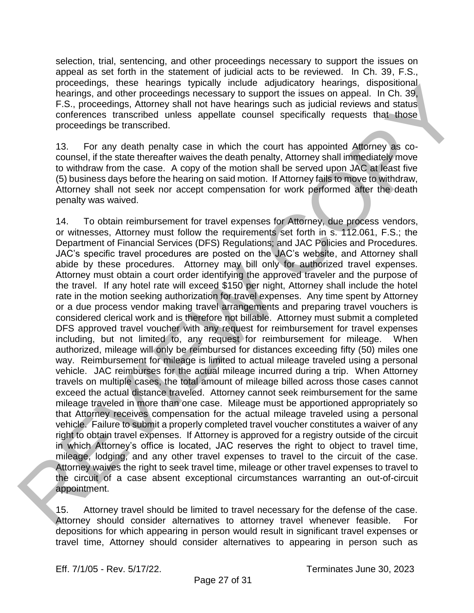selection, trial, sentencing, and other proceedings necessary to support the issues on appeal as set forth in the statement of judicial acts to be reviewed. In Ch. 39, F.S., proceedings, these hearings typically include adjudicatory hearings, dispositional hearings, and other proceedings necessary to support the issues on appeal. In Ch. 39, F.S., proceedings, Attorney shall not have hearings such as judicial reviews and status conferences transcribed unless appellate counsel specifically requests that those proceedings be transcribed.

13. For any death penalty case in which the court has appointed Attorney as cocounsel, if the state thereafter waives the death penalty, Attorney shall immediately move to withdraw from the case. A copy of the motion shall be served upon JAC at least five (5) business days before the hearing on said motion. If Attorney fails to move to withdraw, Attorney shall not seek nor accept compensation for work performed after the death penalty was waived.

14. To obtain reimbursement for travel expenses for Attorney, due process vendors, or witnesses, Attorney must follow the requirements set forth in s. 112.061, F.S.; the Department of Financial Services (DFS) Regulations; and JAC Policies and Procedures. JAC's specific travel procedures are posted on the JAC's website, and Attorney shall abide by these procedures. Attorney may bill only for authorized travel expenses. Attorney must obtain a court order identifying the approved traveler and the purpose of the travel. If any hotel rate will exceed \$150 per night, Attorney shall include the hotel rate in the motion seeking authorization for travel expenses. Any time spent by Attorney or a due process vendor making travel arrangements and preparing travel vouchers is considered clerical work and is therefore not billable. Attorney must submit a completed DFS approved travel voucher with any request for reimbursement for travel expenses including, but not limited to, any request for reimbursement for mileage. When authorized, mileage will only be reimbursed for distances exceeding fifty (50) miles one way. Reimbursement for mileage is limited to actual mileage traveled using a personal vehicle. JAC reimburses for the actual mileage incurred during a trip. When Attorney travels on multiple cases, the total amount of mileage billed across those cases cannot exceed the actual distance traveled. Attorney cannot seek reimbursement for the same mileage traveled in more than one case. Mileage must be apportioned appropriately so that Attorney receives compensation for the actual mileage traveled using a personal vehicle. Failure to submit a properly completed travel voucher constitutes a waiver of any right to obtain travel expenses. If Attorney is approved for a registry outside of the circuit in which Attorney's office is located, JAC reserves the right to object to travel time, mileage, lodging, and any other travel expenses to travel to the circuit of the case. Attorney waives the right to seek travel time, mileage or other travel expenses to travel to the circuit of a case absent exceptional circumstances warranting an out-of-circuit appointment. processing, means nearly the properties. Attenties and plusted to the studies and don't processing to appoint the association appoint the studies of the contents, Altoney and in the heating such as plentical terminant cont

15. Attorney travel should be limited to travel necessary for the defense of the case. Attorney should consider alternatives to attorney travel whenever feasible. For depositions for which appearing in person would result in significant travel expenses or travel time, Attorney should consider alternatives to appearing in person such as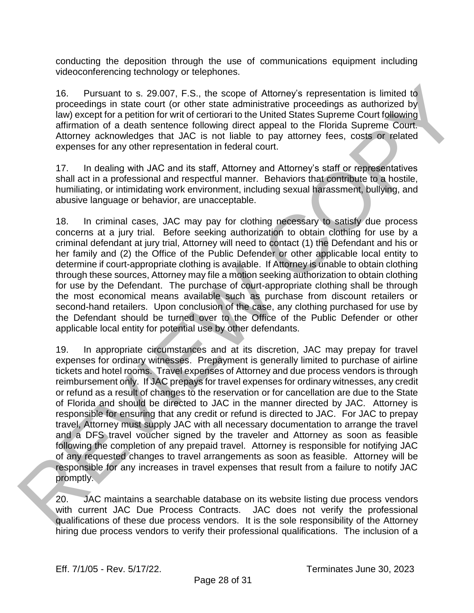conducting the deposition through the use of communications equipment including videoconferencing technology or telephones.

16. Pursuant to s. 29.007, F.S., the scope of Attorney's representation is limited to proceedings in state court (or other state administrative proceedings as authorized by law) except for a petition for writ of certiorari to the United States Supreme Court following affirmation of a death sentence following direct appeal to the Florida Supreme Court. Attorney acknowledges that JAC is not liable to pay attorney fees, costs or related expenses for any other representation in federal court.

17. In dealing with JAC and its staff, Attorney and Attorney's staff or representatives shall act in a professional and respectful manner. Behaviors that contribute to a hostile, humiliating, or intimidating work environment, including sexual harassment, bullying, and abusive language or behavior, are unacceptable.

18. In criminal cases, JAC may pay for clothing necessary to satisfy due process concerns at a jury trial. Before seeking authorization to obtain clothing for use by a criminal defendant at jury trial, Attorney will need to contact (1) the Defendant and his or her family and (2) the Office of the Public Defender or other applicable local entity to determine if court-appropriate clothing is available. If Attorney is unable to obtain clothing through these sources, Attorney may file a motion seeking authorization to obtain clothing for use by the Defendant. The purchase of court-appropriate clothing shall be through the most economical means available such as purchase from discount retailers or second-hand retailers. Upon conclusion of the case, any clothing purchased for use by the Defendant should be turned over to the Office of the Public Defender or other applicable local entity for potential use by other defendants.

19. In appropriate circumstances and at its discretion, JAC may prepay for travel expenses for ordinary witnesses. Prepayment is generally limited to purchase of airline tickets and hotel rooms. Travel expenses of Attorney and due process vendors is through reimbursement only. If JAC prepays for travel expenses for ordinary witnesses, any credit or refund as a result of changes to the reservation or for cancellation are due to the State of Florida and should be directed to JAC in the manner directed by JAC. Attorney is responsible for ensuring that any credit or refund is directed to JAC. For JAC to prepay travel, Attorney must supply JAC with all necessary documentation to arrange the travel and a DFS travel voucher signed by the traveler and Attorney as soon as feasible following the completion of any prepaid travel. Attorney is responsible for notifying JAC of any requested changes to travel arrangements as soon as feasible. Attorney will be responsible for any increases in travel expenses that result from a failure to notify JAC promptly. 16. Pursuant les a 20.007, F.S., the scope of Attorney's representation is limited to<br>probability in statistical tref or the tref statistical derivations are callulated by<br>derivation of a destine series controlled to the F

20. JAC maintains a searchable database on its website listing due process vendors with current JAC Due Process Contracts. JAC does not verify the professional qualifications of these due process vendors. It is the sole responsibility of the Attorney hiring due process vendors to verify their professional qualifications. The inclusion of a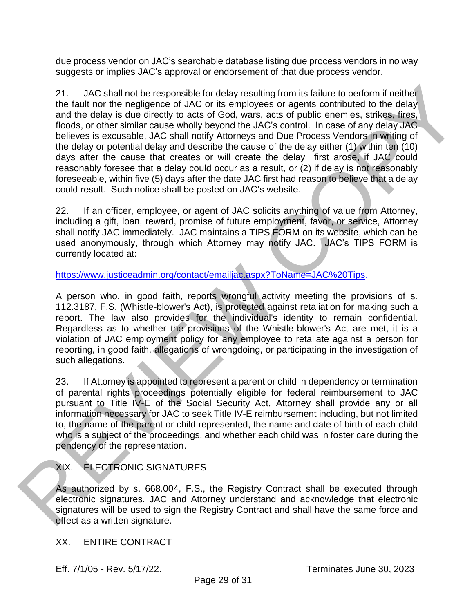due process vendor on JAC's searchable database listing due process vendors in no way suggests or implies JAC's approval or endorsement of that due process vendor.

21. JAC shall not be responsible for delay resulting from its failure to perform if neither the fault nor the negligence of JAC or its employees or agents contributed to the delay and the delay is due directly to acts of God, wars, acts of public enemies, strikes, fires, floods, or other similar cause wholly beyond the JAC's control. In case of any delay JAC believes is excusable, JAC shall notify Attorneys and Due Process Vendors in writing of the delay or potential delay and describe the cause of the delay either (1) within ten (10) days after the cause that creates or will create the delay first arose, if JAC could reasonably foresee that a delay could occur as a result, or (2) if delay is not reasonably foreseeable, within five (5) days after the date JAC first had reason to believe that a delay could result. Such notice shall be posted on JAC's website. 21. JA[C](https://www.justiceadmin.org/contact/emailjac.aspx?ToName=JAC%20Tips) shall not be responsible for delay resulting from its failure to perform if neither<br>the dial dark network needs then and the molecules are dependent in the delay<br>from the first model of the molecules are dependent

22. If an officer, employee, or agent of JAC solicits anything of value from Attorney, including a gift, loan, reward, promise of future employment, favor, or service, Attorney shall notify JAC immediately. JAC maintains a TIPS FORM on its website, which can be used anonymously, through which Attorney may notify JAC. JAC's TIPS FORM is currently located at:

https://www.justiceadmin.org/contact/emailjac.aspx?ToName=JAC%20Tips.

A person who, in good faith, reports wrongful activity meeting the provisions of s. 112.3187, F.S. (Whistle-blower's Act), is protected against retaliation for making such a report. The law also provides for the individual's identity to remain confidential. Regardless as to whether the provisions of the Whistle-blower's Act are met, it is a violation of JAC employment policy for any employee to retaliate against a person for reporting, in good faith, allegations of wrongdoing, or participating in the investigation of such allegations.

23. If Attorney is appointed to represent a parent or child in dependency or termination of parental rights proceedings potentially eligible for federal reimbursement to JAC pursuant to Title IV-E of the Social Security Act, Attorney shall provide any or all information necessary for JAC to seek Title IV-E reimbursement including, but not limited to, the name of the parent or child represented, the name and date of birth of each child who is a subject of the proceedings, and whether each child was in foster care during the pendency of the representation.

# XIX. ELECTRONIC SIGNATURES

As authorized by s. 668.004, F.S., the Registry Contract shall be executed through electronic signatures. JAC and Attorney understand and acknowledge that electronic signatures will be used to sign the Registry Contract and shall have the same force and effect as a written signature.

XX. ENTIRE CONTRACT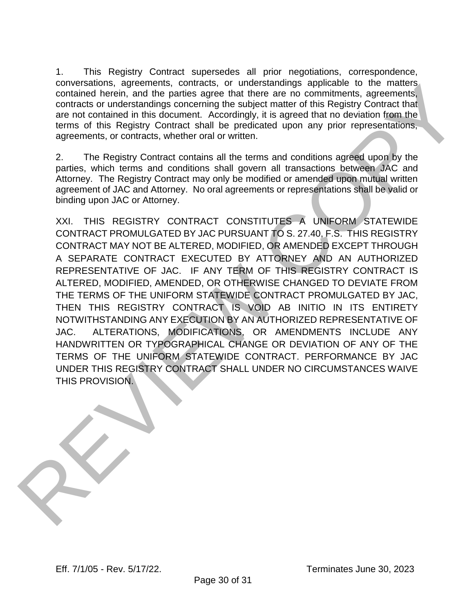1. This Registry Contract supersedes all prior negotiations, correspondence, conversations, agreements, contracts, or understandings applicable to the matters contained herein, and the parties agree that there are no commitments, agreements, contracts or understandings concerning the subject matter of this Registry Contract that are not contained in this document. Accordingly, it is agreed that no deviation from the terms of this Registry Contract shall be predicated upon any prior representations, agreements, or contracts, whether oral or written.

2. The Registry Contract contains all the terms and conditions agreed upon by the parties, which terms and conditions shall govern all transactions between JAC and Attorney. The Registry Contract may only be modified or amended upon mutual written agreement of JAC and Attorney. No oral agreements or representations shall be valid or binding upon JAC or Attorney.

XXI. THIS REGISTRY CONTRACT CONSTITUTES A UNIFORM STATEWIDE CONTRACT PROMULGATED BY JAC PURSUANT TO S. 27.40, F.S. THIS REGISTRY CONTRACT MAY NOT BE ALTERED, MODIFIED, OR AMENDED EXCEPT THROUGH A SEPARATE CONTRACT EXECUTED BY ATTORNEY AND AN AUTHORIZED REPRESENTATIVE OF JAC. IF ANY TERM OF THIS REGISTRY CONTRACT IS ALTERED, MODIFIED, AMENDED, OR OTHERWISE CHANGED TO DEVIATE FROM THE TERMS OF THE UNIFORM STATEWIDE CONTRACT PROMULGATED BY JAC, THEN THIS REGISTRY CONTRACT IS VOID AB INITIO IN ITS ENTIRETY NOTWITHSTANDING ANY EXECUTION BY AN AUTHORIZED REPRESENTATIVE OF JAC. ALTERATIONS, MODIFICATIONS, OR AMENDMENTS INCLUDE ANY HANDWRITTEN OR TYPOGRAPHICAL CHANGE OR DEVIATION OF ANY OF THE TERMS OF THE UNIFORM STATEWIDE CONTRACT. PERFORMANCE BY JAC UNDER THIS REGISTRY CONTRACT SHALL UNDER NO CIRCUMSTANCES WAIVE THIS PROVISION. conversations, agreement of particular to the matter of the matter of the matter and the matter of the state of the Registry Contract and the state of the State and the Contract of the State and the Contract of the State a